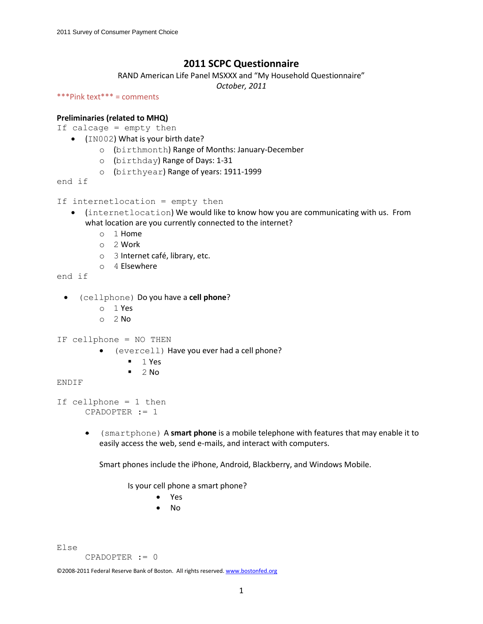# **2011 SCPC Questionnaire**

RAND American Life Panel MSXXX and "My Household Questionnaire"

*October, 2011*

```
***Pink text*** = comments
```
### **Preliminaries (related to MHQ)**

If calcage = empty then

- (IN002) What is your birth date?
	- o (birthmonth) Range of Months: January-December
	- o (birthday) Range of Days: 1-31
	- o (birthyear) Range of years: 1911-1999

end if

```
If internetlocation = empty then
```
- (internetlocation) We would like to know how you are communicating with us. From what location are you currently connected to the internet?
	- o 1 Home
	- o 2 Work
	- o 3 Internet café, library, etc.
	- o 4 Elsewhere

end if

- (cellphone) Do you have a **cell phone**?
	- o 1 Yes
	- $O<sub>2</sub>$  No
- IF cellphone = NO THEN
	- (evercell) Have you ever had a cell phone?
		- $1$  Yes
		- $-2$  No

#### ENDIF

```
If cellphone = 1 then 
     CPADOPTER := 1
```
 (smartphone) A **smart phone** is a mobile telephone with features that may enable it to easily access the web, send e-mails, and interact with computers.

Smart phones include the iPhone, Android, Blackberry, and Windows Mobile.

Is your cell phone a smart phone?

- Yes
- No

Else

CPADOPTER := 0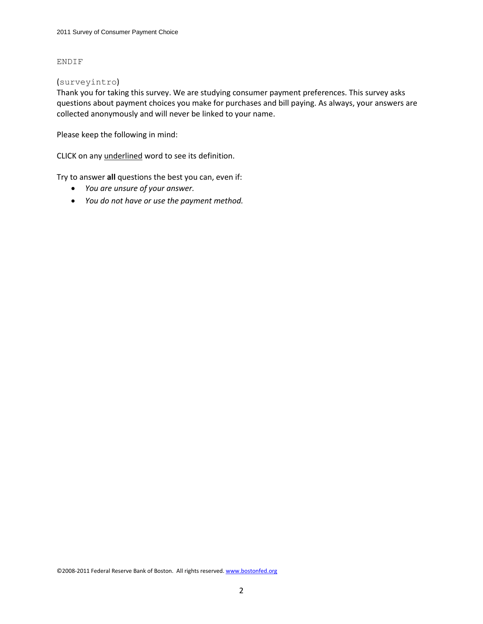#### ENDIF

#### (surveyintro)

Thank you for taking this survey. We are studying consumer payment preferences. This survey asks questions about payment choices you make for purchases and bill paying. As always, your answers are collected anonymously and will never be linked to your name.

Please keep the following in mind:

CLICK on any underlined word to see its definition.

Try to answer **all** questions the best you can, even if:

- *You are unsure of your answer.*
- *You do not have or use the payment method.*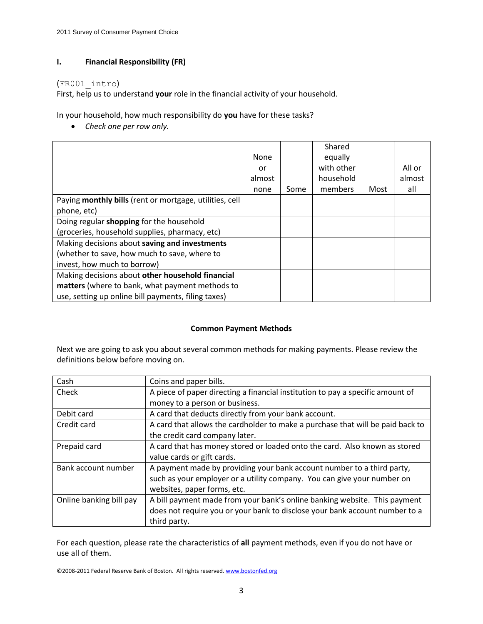# **I. Financial Responsibility (FR)**

## (FR001\_intro)

First, help us to understand **your** role in the financial activity of your household.

In your household, how much responsibility do **you** have for these tasks?

*Check one per row only.*

|                                                         | None   |      | Shared<br>equally |      |        |
|---------------------------------------------------------|--------|------|-------------------|------|--------|
|                                                         | or     |      | with other        |      | All or |
|                                                         | almost |      | household         |      | almost |
|                                                         | none   | Some | members           | Most | all    |
| Paying monthly bills (rent or mortgage, utilities, cell |        |      |                   |      |        |
| phone, etc)                                             |        |      |                   |      |        |
| Doing regular shopping for the household                |        |      |                   |      |        |
| (groceries, household supplies, pharmacy, etc)          |        |      |                   |      |        |
| Making decisions about saving and investments           |        |      |                   |      |        |
| (whether to save, how much to save, where to            |        |      |                   |      |        |
| invest, how much to borrow)                             |        |      |                   |      |        |
| Making decisions about other household financial        |        |      |                   |      |        |
| matters (where to bank, what payment methods to         |        |      |                   |      |        |
| use, setting up online bill payments, filing taxes)     |        |      |                   |      |        |

# **Common Payment Methods**

Next we are going to ask you about several common methods for making payments. Please review the definitions below before moving on.

| Cash                    | Coins and paper bills.                                                         |
|-------------------------|--------------------------------------------------------------------------------|
| Check                   | A piece of paper directing a financial institution to pay a specific amount of |
|                         | money to a person or business.                                                 |
| Debit card              | A card that deducts directly from your bank account.                           |
| Credit card             | A card that allows the cardholder to make a purchase that will be paid back to |
|                         | the credit card company later.                                                 |
| Prepaid card            | A card that has money stored or loaded onto the card. Also known as stored     |
|                         | value cards or gift cards.                                                     |
| Bank account number     | A payment made by providing your bank account number to a third party,         |
|                         | such as your employer or a utility company. You can give your number on        |
|                         | websites, paper forms, etc.                                                    |
| Online banking bill pay | A bill payment made from your bank's online banking website. This payment      |
|                         | does not require you or your bank to disclose your bank account number to a    |
|                         | third party.                                                                   |

For each question, please rate the characteristics of **all** payment methods, even if you do not have or use all of them.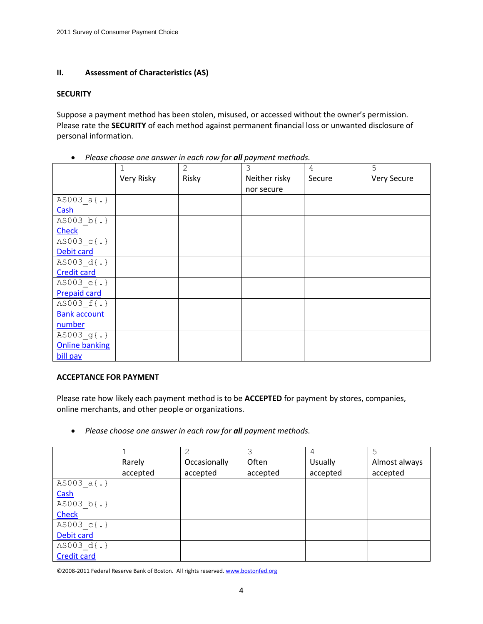# **II. Assessment of Characteristics (AS)**

### **SECURITY**

Suppose a payment method has been stolen, misused, or accessed without the owner's permission. Please rate the **SECURITY** of each method against permanent financial loss or unwanted disclosure of personal information.

| rease encose one answer in each row for <b>an</b> payment methods. |             |              |               |        |             |  |  |
|--------------------------------------------------------------------|-------------|--------------|---------------|--------|-------------|--|--|
|                                                                    | $\mathbf 1$ | $\mathbf{2}$ | 3             | 4      | 5           |  |  |
|                                                                    | Very Risky  | Risky        | Neither risky | Secure | Very Secure |  |  |
|                                                                    |             |              | nor secure    |        |             |  |  |
| AS003 $a\{\cdot\}$                                                 |             |              |               |        |             |  |  |
| Cash                                                               |             |              |               |        |             |  |  |
| AS003 b{.}                                                         |             |              |               |        |             |  |  |
| <b>Check</b>                                                       |             |              |               |        |             |  |  |
| AS003 c{.}                                                         |             |              |               |        |             |  |  |
| Debit card                                                         |             |              |               |        |             |  |  |
| AS003 d{.}                                                         |             |              |               |        |             |  |  |
| <b>Credit card</b>                                                 |             |              |               |        |             |  |  |
| AS003 $e\{.\}$                                                     |             |              |               |        |             |  |  |
| <b>Prepaid card</b>                                                |             |              |               |        |             |  |  |
| AS003 f{.}                                                         |             |              |               |        |             |  |  |
| <b>Bank account</b>                                                |             |              |               |        |             |  |  |
| number                                                             |             |              |               |        |             |  |  |
| AS003 g{.}                                                         |             |              |               |        |             |  |  |
| <b>Online banking</b>                                              |             |              |               |        |             |  |  |
| bill pay                                                           |             |              |               |        |             |  |  |

• Please choose one answer in each row for **all** payment methods.

### **ACCEPTANCE FOR PAYMENT**

Please rate how likely each payment method is to be **ACCEPTED** for payment by stores, companies, online merchants, and other people or organizations.

*Please choose one answer in each row for all payment methods.*

|                    |          | 2            |          | 4        | 5             |
|--------------------|----------|--------------|----------|----------|---------------|
|                    | Rarely   | Occasionally | Often    | Usually  | Almost always |
|                    | accepted | accepted     | accepted | accepted | accepted      |
| AS003 $a(.)$       |          |              |          |          |               |
| Cash               |          |              |          |          |               |
| AS003 $b(.)$       |          |              |          |          |               |
| Check              |          |              |          |          |               |
| AS003 c{.}         |          |              |          |          |               |
| Debit card         |          |              |          |          |               |
| AS003 d{.}         |          |              |          |          |               |
| <b>Credit card</b> |          |              |          |          |               |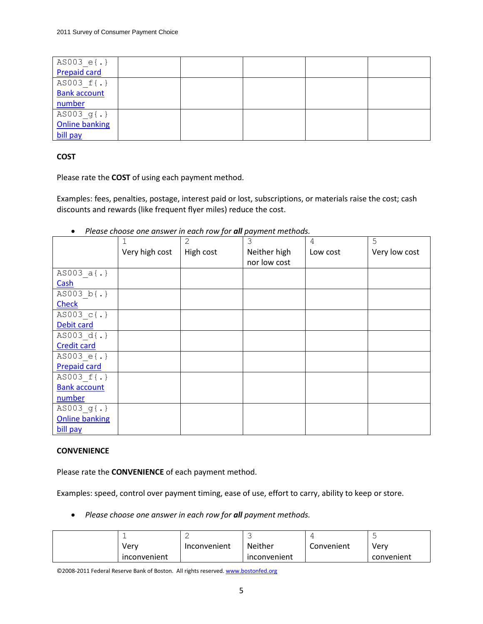| AS003 $e(.)$          |  |  |  |
|-----------------------|--|--|--|
| <b>Prepaid card</b>   |  |  |  |
| AS003 f{.}            |  |  |  |
| <b>Bank account</b>   |  |  |  |
| number                |  |  |  |
| AS003_g{.}            |  |  |  |
| <b>Online banking</b> |  |  |  |
| bill pay              |  |  |  |

# **COST**

Please rate the **COST** of using each payment method.

Examples: fees, penalties, postage, interest paid or lost, subscriptions, or materials raise the cost; cash discounts and rewards (like frequent flyer miles) reduce the cost.

|                       | 1              | $\overline{2}$ | 3            | 4        | 5             |
|-----------------------|----------------|----------------|--------------|----------|---------------|
|                       | Very high cost | High cost      | Neither high | Low cost | Very low cost |
|                       |                |                | nor low cost |          |               |
| $AS003_a\{.\}$        |                |                |              |          |               |
| Cash                  |                |                |              |          |               |
| AS003 b{.}            |                |                |              |          |               |
| <b>Check</b>          |                |                |              |          |               |
| AS003 c{.}            |                |                |              |          |               |
| Debit card            |                |                |              |          |               |
| AS003 d{.}            |                |                |              |          |               |
| <b>Credit card</b>    |                |                |              |          |               |
| AS003 $e\{.\}$        |                |                |              |          |               |
| <b>Prepaid card</b>   |                |                |              |          |               |
| AS003 f{.}            |                |                |              |          |               |
| <b>Bank account</b>   |                |                |              |          |               |
| number                |                |                |              |          |               |
| $AS003$ g{.}          |                |                |              |          |               |
| <b>Online banking</b> |                |                |              |          |               |
| bill pay              |                |                |              |          |               |

*Please choose one answer in each row for all payment methods.*

# **CONVENIENCE**

Please rate the **CONVENIENCE** of each payment method.

Examples: speed, control over payment timing, ease of use, effort to carry, ability to keep or store.

*Please choose one answer in each row for all payment methods.*

|              | ے            |                |            |            |
|--------------|--------------|----------------|------------|------------|
| Verv         | Inconvenient | <b>Neither</b> | Convenient | Very       |
| inconvenient |              | inconvenient   |            | convenient |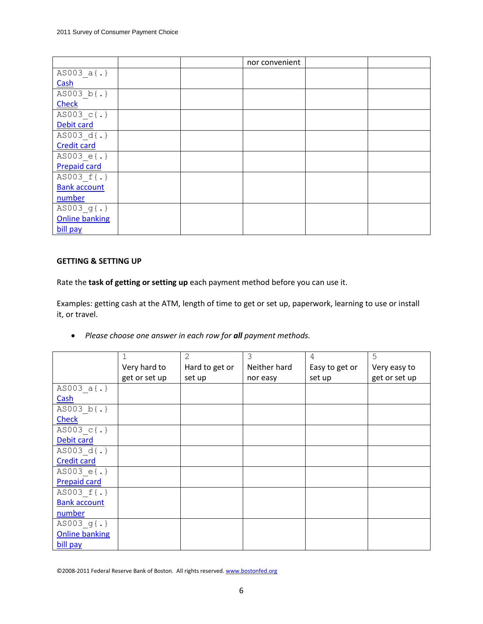|                       |  | nor convenient |  |
|-----------------------|--|----------------|--|
| AS003 $a\{\cdot\}$    |  |                |  |
| Cash                  |  |                |  |
| AS003 b{.}            |  |                |  |
| <b>Check</b>          |  |                |  |
| AS003 c{.}            |  |                |  |
| Debit card            |  |                |  |
| AS003 d{.}            |  |                |  |
| <b>Credit card</b>    |  |                |  |
| AS003 e{.}            |  |                |  |
| <b>Prepaid card</b>   |  |                |  |
| AS003 f{.}            |  |                |  |
| <b>Bank account</b>   |  |                |  |
| number                |  |                |  |
| AS003 g{.}            |  |                |  |
| <b>Online banking</b> |  |                |  |
| bill pay              |  |                |  |

## **GETTING & SETTING UP**

Rate the **task of getting or setting up** each payment method before you can use it.

Examples: getting cash at the ATM, length of time to get or set up, paperwork, learning to use or install it, or travel.

*Please choose one answer in each row for all payment methods.*

|                       |               | $\mathbf{2}$   | 3            | 4              | 5             |
|-----------------------|---------------|----------------|--------------|----------------|---------------|
|                       | Very hard to  | Hard to get or | Neither hard | Easy to get or | Very easy to  |
|                       | get or set up | set up         | nor easy     | set up         | get or set up |
| $AS003 a\{.\}$        |               |                |              |                |               |
| Cash                  |               |                |              |                |               |
| AS003 b{.}            |               |                |              |                |               |
| <b>Check</b>          |               |                |              |                |               |
| AS003 c{.}            |               |                |              |                |               |
| Debit card            |               |                |              |                |               |
| AS003 d{.}            |               |                |              |                |               |
| <b>Credit card</b>    |               |                |              |                |               |
| AS003 $e\{.\}$        |               |                |              |                |               |
| <b>Prepaid card</b>   |               |                |              |                |               |
| AS003 f{.}            |               |                |              |                |               |
| <b>Bank account</b>   |               |                |              |                |               |
| number                |               |                |              |                |               |
| AS003 $g(.)$          |               |                |              |                |               |
| <b>Online banking</b> |               |                |              |                |               |
| bill pay              |               |                |              |                |               |

<sup>©2008-2011</sup> Federal Reserve Bank of Boston. All rights reserved. www.bostonfed.org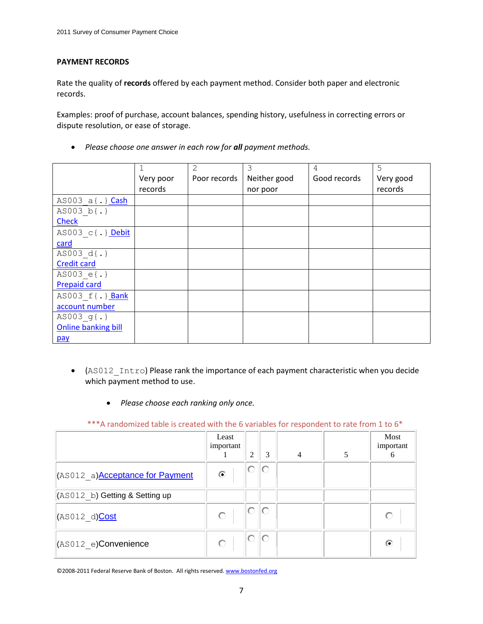# **PAYMENT RECORDS**

Rate the quality of **records** offered by each payment method. Consider both paper and electronic records.

Examples: proof of purchase, account balances, spending history, usefulness in correcting errors or dispute resolution, or ease of storage.

*Please choose one answer in each row for all payment methods.*

|                            |           | 2            | 3            | 4            | 5         |
|----------------------------|-----------|--------------|--------------|--------------|-----------|
|                            | Very poor | Poor records | Neither good | Good records | Very good |
|                            | records   |              | nor poor     |              | records   |
| AS003 a{.} Cash            |           |              |              |              |           |
| AS003 b{.}                 |           |              |              |              |           |
| <b>Check</b>               |           |              |              |              |           |
| AS003 c{.} Debit           |           |              |              |              |           |
| card                       |           |              |              |              |           |
| AS003 d{.}                 |           |              |              |              |           |
| <b>Credit card</b>         |           |              |              |              |           |
| AS003 e{.}                 |           |              |              |              |           |
| <b>Prepaid card</b>        |           |              |              |              |           |
| AS003 f{.} Bank            |           |              |              |              |           |
| account number             |           |              |              |              |           |
| AS003 $g(.)$               |           |              |              |              |           |
| <b>Online banking bill</b> |           |              |              |              |           |
| pay                        |           |              |              |              |           |

- (AS012 Intro) Please rank the importance of each payment characteristic when you decide which payment method to use.
	- *Please choose each ranking only once.*

\*\*\*A randomized table is created with the 6 variables for respondent to rate from 1 to 6\*

|                                         | Least<br>important | 2  | 3  | $\overline{4}$ | 5 | Most<br>important<br>6 |
|-----------------------------------------|--------------------|----|----|----------------|---|------------------------|
| (AS012 a) <b>Acceptance for Payment</b> | $\circ$            | 0. | IO |                |   |                        |
| (AS012 b) Getting & Setting up          |                    |    |    |                |   |                        |
| (AS012 d)Cost                           |                    | 0. | 10 |                |   |                        |
| $ $ (AS012 e)Convenience                |                    | О  | lo |                |   | €                      |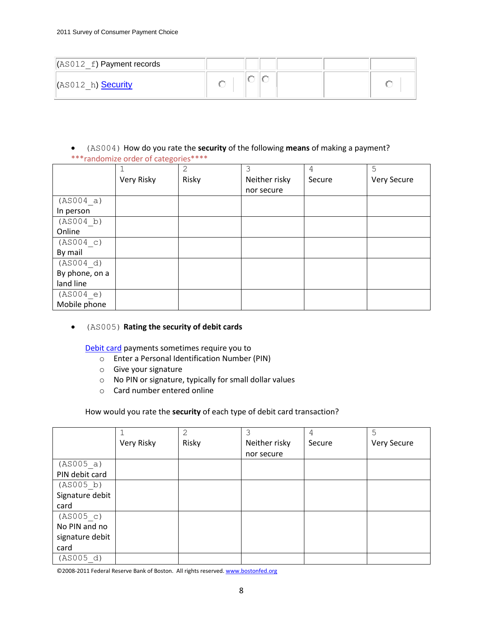| $\sqrt{$ AS012 f) Payment records |  |  |  |
|-----------------------------------|--|--|--|
| (AS012 h) <b>Security</b>         |  |  |  |

 (AS004) How do you rate the **security** of the following **means** of making a payment? \*\*\*randomize order of categories\*\*\*\*

|                | . <b>.</b> | $\mathbf{2}$ | 3             | 4      | 5           |
|----------------|------------|--------------|---------------|--------|-------------|
|                | Very Risky | Risky        | Neither risky | Secure | Very Secure |
|                |            |              | nor secure    |        |             |
| (AS004 a)      |            |              |               |        |             |
| In person      |            |              |               |        |             |
| (AS004 b)      |            |              |               |        |             |
| Online         |            |              |               |        |             |
| (AS004 c)      |            |              |               |        |             |
| By mail        |            |              |               |        |             |
| (AS004 d)      |            |              |               |        |             |
| By phone, on a |            |              |               |        |             |
| land line      |            |              |               |        |             |
| (AS004 e)      |            |              |               |        |             |
| Mobile phone   |            |              |               |        |             |

### (AS005) **Rating the security of debit cards**

Debit card payments sometimes require you to

- o Enter a Personal Identification Number (PIN)
- o Give your signature
- o No PIN or signature, typically for small dollar values
- o Card number entered online

### How would you rate the **security** of each type of debit card transaction?

|                 |            | 2     |               | 4      | 5           |
|-----------------|------------|-------|---------------|--------|-------------|
|                 | Very Risky | Risky | Neither risky | Secure | Very Secure |
|                 |            |       | nor secure    |        |             |
| (AS005 a)       |            |       |               |        |             |
| PIN debit card  |            |       |               |        |             |
| (AS005 b)       |            |       |               |        |             |
| Signature debit |            |       |               |        |             |
| card            |            |       |               |        |             |
| (AS005 c)       |            |       |               |        |             |
| No PIN and no   |            |       |               |        |             |
| signature debit |            |       |               |        |             |
| card            |            |       |               |        |             |
| (AS005 d)       |            |       |               |        |             |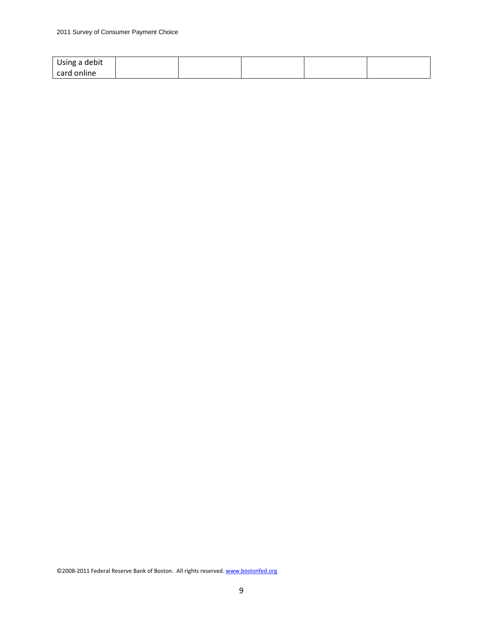| Using a debit |  |  |  |
|---------------|--|--|--|
| l card online |  |  |  |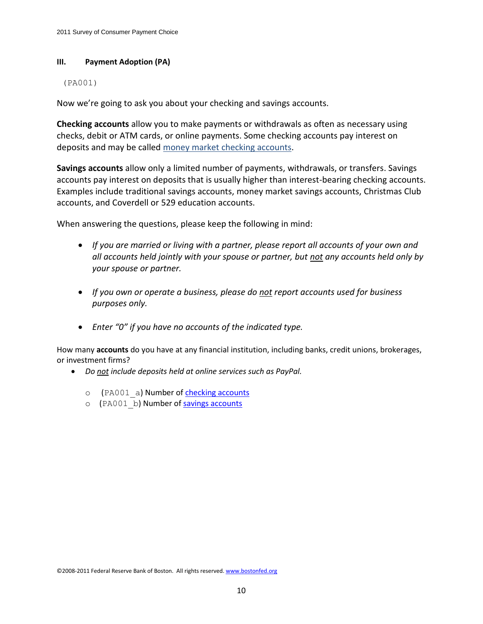### **III. Payment Adoption (PA)**

### (PA001)

Now we're going to ask you about your checking and savings accounts.

**Checking accounts** allow you to make payments or withdrawals as often as necessary using checks, debit or ATM cards, or online payments. Some checking accounts pay interest on deposits and may be called money market checking accounts.

**Savings accounts** allow only a limited number of payments, withdrawals, or transfers. Savings accounts pay interest on deposits that is usually higher than interest-bearing checking accounts. Examples include traditional savings accounts, money market savings accounts, Christmas Club accounts, and Coverdell or 529 education accounts.

When answering the questions, please keep the following in mind:

- *If you are married or living with a partner, please report all accounts of your own and all accounts held jointly with your spouse or partner, but not any accounts held only by your spouse or partner.*
- *If you own or operate a business, please do not report accounts used for business purposes only.*
- *Enter "0" if you have no accounts of the indicated type.*

How many **accounts** do you have at any financial institution, including banks, credit unions, brokerages, or investment firms?

- *Do not include deposits held at online services such as PayPal.*
	- o (PA001 a) Number of checking accounts
	- o (PA001 b) Number of savings accounts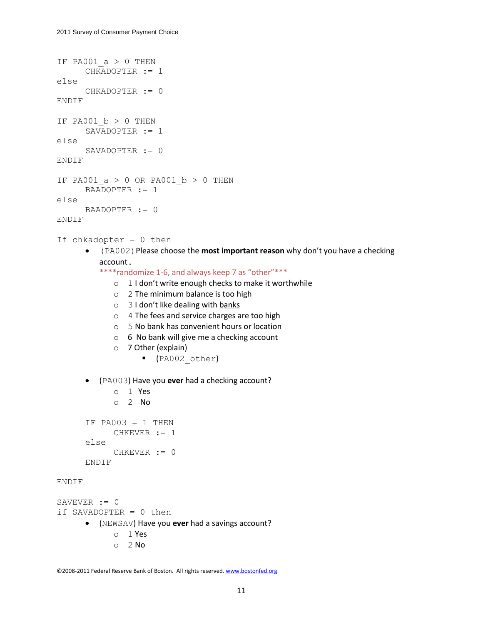```
IF PA001 a > 0 THEN
      CHKADOPTER := 1
else
      CHKADOPTER := 0
ENDIF
IF PA001 b > 0 THEN
      SAVADOPTER := 1
else
      SAVADOPTER := 0
ENDIF
IF PA001 a > 0 OR PA001 b > 0 THEN
      BAADOPTER := 1
else
      BAADOPTER := 0
ENDIF
If chkadopter = 0 then
       (PA002)Please choose the most important reason why don't you have a checking 
         account. 
         ****randomize 1-6, and always keep 7 as "other"***
             o 1 I don't write enough checks to make it worthwhile 
             o 2 The minimum balance is too high
             o 3 I don't like dealing with banks
             o 4 The fees and service charges are too high
             o 5 No bank has convenient hours or location
             o 6 No bank will give me a checking account
             o 7 Other (explain)
                    (PA002_other)
       (PA003) Have you ever had a checking account?
             o 1 Yes
             o 2 No
      IF PA003 = 1 THEN
             CHKEVER := 1
      else
             CHKEVER := 0
      ENDIF
ENDIF
SAVEVER := 0if SAVADOPTER = 0 then
       (NEWSAV) Have you ever had a savings account?
             o 1 Yes
```
o 2 No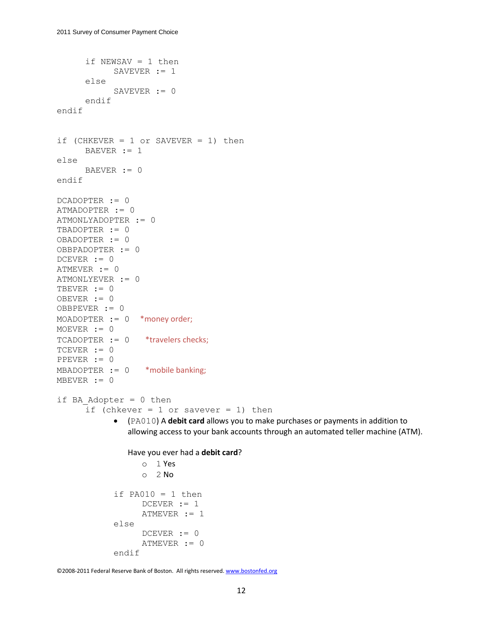```
if NEWSAV = 1 then
            SAVEVER := 1else
            SAVEVER := 0
      endif
endif
if (CHKEVER = 1 or SAVEVER = 1) then
      BAEVER := 1else
      BAEVER := 0
endif
DCADOPTER := 0
ATMADOPTER := 0
ATMONLYADOPTER := 0
TBADOPTER := 0
OBADOPTER := 0
OBBPADOPTER := 0
DCEVER := 0
ATMEVER := 0
ATMONLYEVER := 0
TBEVER := 0
OBEVER := 0
OBBPEVER := 0
MOADOPTER := 0 *money order;
MOEVER := 0
TCADOPTER := 0 *travelers checks;
TCEVER := 0PPEVER := 0
MBADOPTER := 0 * mobile banking;
MBEVER := 0if BA Adopter = 0 then
      if (chkever = 1 or savever = 1) then
             (PA010) A debit card allows you to make purchases or payments in addition to 
               allowing access to your bank accounts through an automated teller machine (ATM). 
               Have you ever had a debit card? 
                  o 1 Yes
                  O<sub>2</sub> No
            if PA010 = 1 then
                  DCEVER := 1ATMEVER := 1
            else
                  DCEVER := 0ATMEVER := 0
            endif
```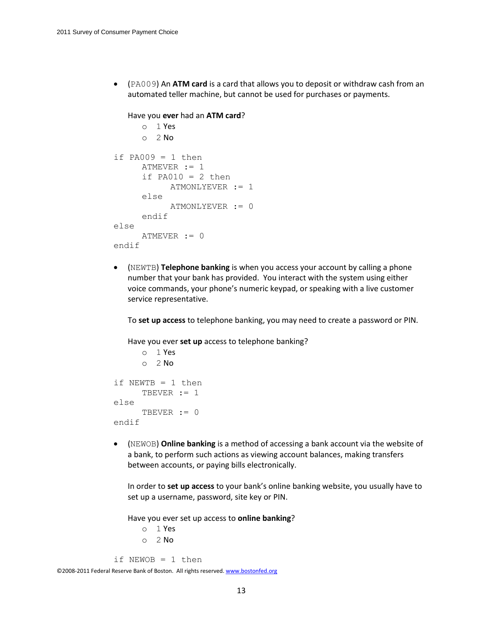(PA009) An **ATM card** is a card that allows you to deposit or withdraw cash from an automated teller machine, but cannot be used for purchases or payments.

```
Have you ever had an ATM card? 
      o 1 Yes
      O<sub>2</sub> No
if PA009 = 1 then
      ATMEVER := 1
      if PA010 = 2 then
            ATMONLYEVER := 1
      else
            ATMONLYEVER := 0
      endif
else
      ATMEVER := 0
endif
```
 (NEWTB) **Telephone banking** is when you access your account by calling a phone number that your bank has provided. You interact with the system using either voice commands, your phone's numeric keypad, or speaking with a live customer service representative.

To **set up access** to telephone banking, you may need to create a password or PIN.

Have you ever **set up** access to telephone banking?

```
o 1 Yes
     o 2 No
if NEWTB = 1 then
     TBEVER := 1else
     TBEVER := 0endif
```
 (NEWOB) **Online banking** is a method of accessing a bank account via the website of a bank, to perform such actions as viewing account balances, making transfers between accounts, or paying bills electronically.

In order to **set up access** to your bank's online banking website, you usually have to set up a username, password, site key or PIN.

Have you ever set up access to **online banking**?

o 1 Yes  $O<sub>2</sub>$  No

```
if NEWOB = 1 then
```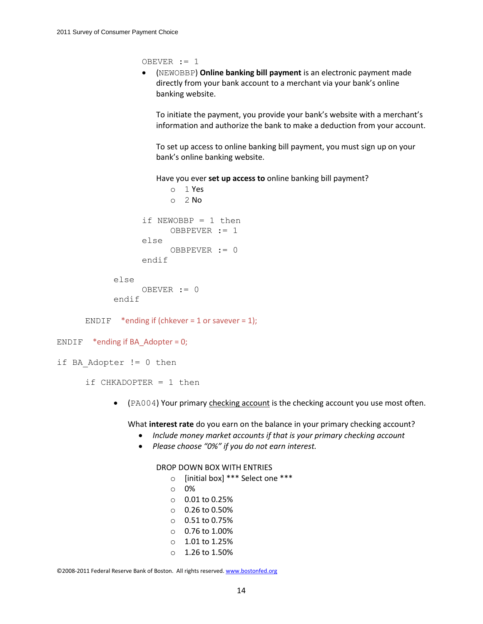OBEVER := 1

 (NEWOBBP) **Online banking bill payment** is an electronic payment made directly from your [bank](https://mmic.rand.org/research/rand/ms87/help.php#bank) account to a merchant via your bank's online banking website.

To initiate the payment, you provide your bank's website with a merchant's information and authorize the bank to make a deduction from your account.

To set up access to online banking bill payment, you must sign up on your bank's online banking website.

Have you ever **set up access to** online banking bill payment?

```
o 1 Yes
            O<sub>2</sub> No
      if NEWOBBP = 1 then
            OBBPEVER := 1
      else
            OBBPEVER := 0
      endif
else
      OBEVER := 0
```

```
endif
```
ENDIF \*ending if (chkever = 1 or savever = 1);

```
ENDIF *ending if BA Adopter = 0;
```

```
if BA Adopter != 0 then
```
if CHKADOPTER = 1 then

• (PA004) Your primary checking account is the checking account you use most often.

What **interest rate** do you earn on the balance in your primary checking account?

- *Include money market accounts if that is your primary checking account*
- *Please choose "0%" if you do not earn interest.*

### DROP DOWN BOX WITH ENTRIES

- o [initial box] \*\*\* Select one \*\*\*
- o 0%
- o 0.01 to 0.25%
- o 0.26 to 0.50%
- o 0.51 to 0.75%
- $O.76$  to 1.00%
- $0.1.01$  to 1.25%
- $\circ$  1.26 to 1.50%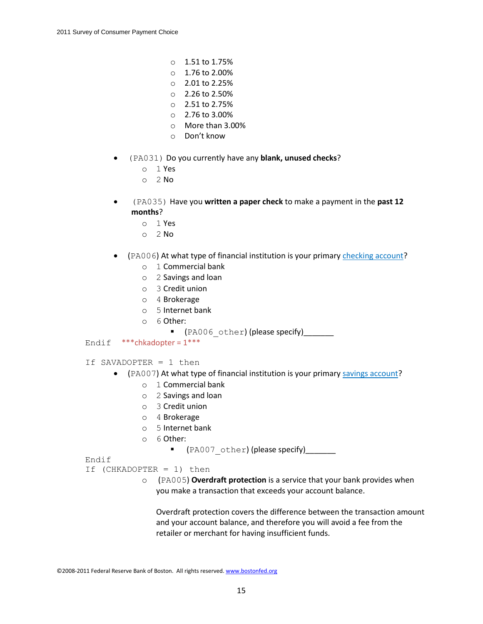- $\circ$  1.51 to 1.75%
- $\circ$  1.76 to 2.00%
- o 2.01 to 2.25%
- o 2.26 to 2.50%
- o 2.51 to 2.75%
- $O = 2.76$  to  $3.00\%$
- o More than 3.00%
- o Don't know
- (PA031) Do you currently have any **blank, unused checks**?
	- o 1 Yes
	- $O<sub>2</sub>$  No
- (PA035) Have you **written a paper check** to make a payment in the **past 12 months**?
	- $O<sub>1</sub>$  Yes
	- o 2 No
- (PA006) At what type of financial institution is your primary checking account?
	- o 1 Commercial bank
	- o 2 Savings and loan
	- o 3 Credit union
	- o 4 Brokerage
	- o 5 Internet bank
	- o 6 Other:
		- (PA006 other) (please specify)
- Endif \*\*\*chkadopter = 1\*\*\*
- If SAVADOPTER = 1 then
	- (PA007) At what type of financial institution is your primary savings account?
		- o 1 Commercial bank
		- o 2 Savings and loan
		- o 3 Credit union
		- o 4 Brokerage
		- o 5 Internet bank
		- o 6 Other:
			- **The CEA007** other) (please specify)\_\_\_\_\_\_\_\_

Endif

- If (CHKADOPTER = 1) then
	- o (PA005) **Overdraft protection** is a service that your bank provides when you make a transaction that exceeds your account balance.

Overdraft protection covers the difference between the transaction amount and your account balance, and therefore you will avoid a fee from the retailer or merchant for having insufficient funds.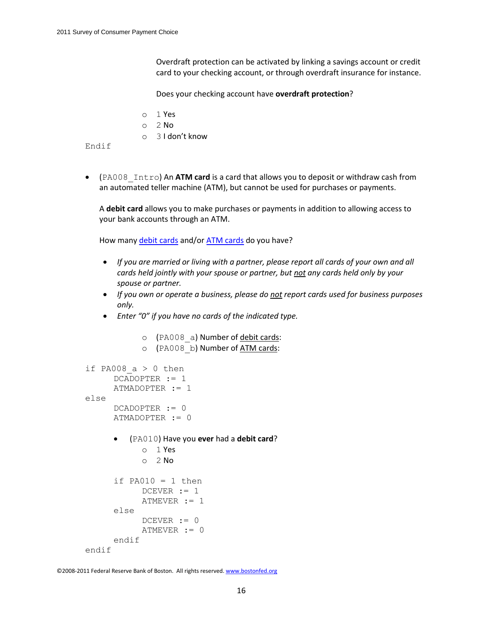Overdraft protection can be activated by linking a savings account or credit card to your checking account, or through overdraft insurance for instance.

Does your checking account have **overdraft protection**?

- o 1 Yes
- o 2 No
- o 3 I don't know

Endif

 (PA008\_Intro) An **ATM card** is a card that allows you to deposit or withdraw cash from an automated teller machine (ATM), but cannot be used for purchases or payments.

A **debit card** allows you to make purchases or payments in addition to allowing access to your bank accounts through an ATM.

How many debit cards and/or ATM cards do you have?

- *If you are married or living with a partner, please report all cards of your own and all cards held jointly with your spouse or partner, but not any cards held only by your spouse or partner.*
- *If you own or operate a business, please do not report cards used for business purposes only.*
- *Enter "0" if you have no cards of the indicated type.*

```
o (PA008 a) Number of debit cards:
            o (PA008_b) Number of ATM cards:
if PA008 a > 0 then
      DCADOPTER := 1
      ATMADOPTER := 1
else
      DCADOPTER := 0
      ATMADOPTER := 0
         (PA010) Have you ever had a debit card?
            o 1 Yes
            O<sub>2</sub> No
      if PA010 = 1 then
            DCEVER := 1ATMEVER := 1
      else
            DCEVER := 0ATMEVER := 0
      endif
endif
```

```
©2008-2011 Federal Reserve Bank of Boston. All rights reserved. www.bostonfed.org
```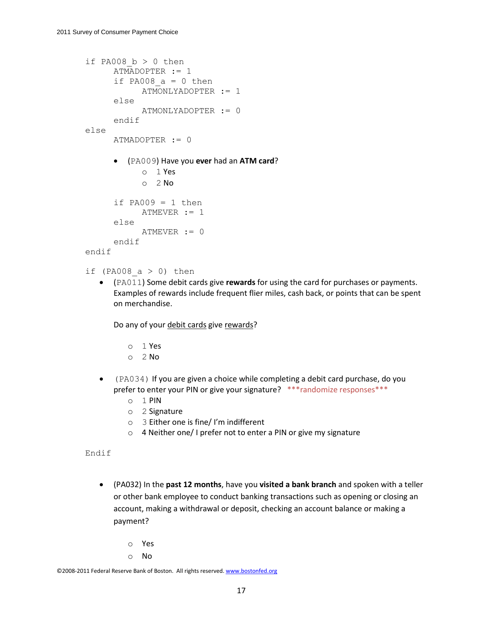```
if PA008 b > 0 then
     ATMADOPTER := 1
     if PA008 a = 0 then
           ATMONLYADOPTER := 1
     else
           ATMONLYADOPTER := 0
     endif
else
     ATMADOPTER := 0
      (PA009) Have you ever had an ATM card?
           o 1 Yes
           o 2 No
      if PA009 = 1 then
           ATMEVER := 1
      else
           ATMEVER := 0
     endif
endif
```

```
if (PA008 a > 0) then
```
 (PA011) Some debit cards give **rewards** for using the card for purchases or payments. Examples of rewards include frequent flier miles, cash back, or points that can be spent on merchandise.

Do any of your debit cards give rewards?

- o 1 Yes
- $O<sub>2</sub>$  No
- (PA034) If you are given a choice while completing a debit card purchase, do you prefer to enter your PIN or give your signature? \*\*\* randomize responses\*\*\*
	- o 1 PIN
	- o 2 Signature
	- o 3 Either one is fine/ I'm indifferent
	- o 4 Neither one/ I prefer not to enter a PIN or give my signature

Endif

- (PA032) In the **past 12 months**, have you **visited a bank branch** and spoken with a teller or other bank employee to conduct banking transactions such as opening or closing an account, making a withdrawal or deposit, checking an account balance or making a payment?
	- o Yes
	- o No

```
©2008-2011 Federal Reserve Bank of Boston. All rights reserved. www.bostonfed.org
```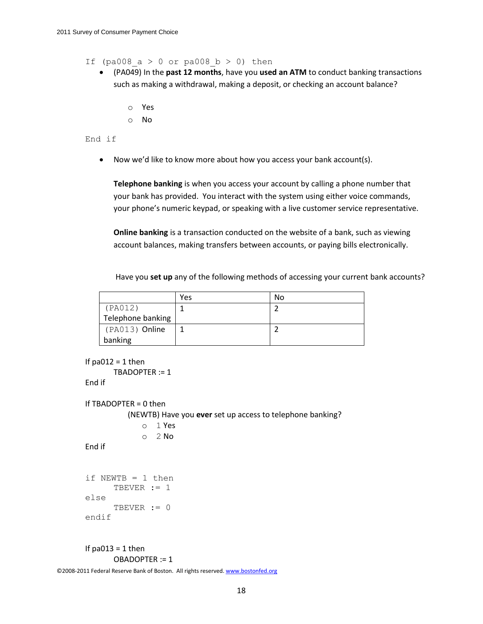If (pa008  $a > 0$  or pa008  $b > 0$ ) then

- (PA049) In the **past 12 months**, have you **used an ATM** to conduct banking transactions such as making a withdrawal, making a deposit, or checking an account balance?
	- o Yes
	- o No

### End if

Now we'd like to know more about how you access your bank account(s).

**Telephone banking** is when you access your account by calling a phone number that your bank has provided. You interact with the system using either voice commands, your phone's numeric keypad, or speaking with a live customer service representative.

**Online banking** is a transaction conducted on the website of a [bank,](https://mmic.rand.org/research/rand/ms87/help.php#bank) such as viewing account balances, making transfers between accounts, or paying bills electronically.

Have you **set up** any of the following methods of accessing your current bank accounts?

|                   | Yes | No |
|-------------------|-----|----|
| (PAO12)           |     |    |
| Telephone banking |     |    |
| (PA013) Online    |     |    |
| banking           |     |    |

```
©2008-2011 Federal Reserve Bank of Boston. All rights reserved. www.bostonfed.org
       If pa012 = 1 then
               TBADOPTER := 1
       End if
       If TBADOPTER = 0 then 
                   (NEWTB) Have you ever set up access to telephone banking?
                       o 1 Yes
                       O<sub>2</sub> No
       End if
        if NEWTB = 1 then
               TBEVER := 1
       else
               TBEVER := 0
        endif
       If pa013 = 1 then
               OBADOPTER := 1
```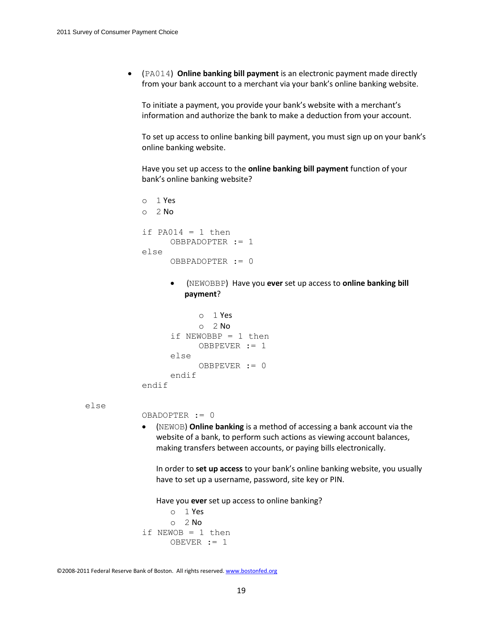(PA014) **Online banking bill payment** is an electronic payment made directly from your [bank](https://mmic.rand.org/research/rand/ms87/help.php#bank) account to a merchant via your bank's online banking website.

To initiate a payment, you provide your bank's website with a merchant's information and authorize the bank to make a deduction from your account.

To set up access to online banking bill payment, you must sign up on your bank's online banking website.

Have you set up access to the **online banking bill payment** function of your bank's online banking website?

```
o 1 Yes
o 2 No
if PA014 = 1 then
     OBBPADOPTER := 1
else
     OBBPADOPTER := 0
```
 (NEWOBBP) Have you **ever** set up access to **online banking bill payment**?

```
o 1 Yes
             O<sub>2</sub> No
      if NEWOBBP = 1 then
            OBBPEVER := 1
      else
            OBBPEVER := 0
      endif
endif
```
else

OBADOPTER := 0

 (NEWOB) **Online banking** is a method of accessing a bank account via the website of a bank, to perform such actions as viewing account balances, making transfers between accounts, or paying bills electronically.

In order to **set up access** to your bank's online banking website, you usually have to set up a username, password, site key or PIN.

Have you **ever** set up access to online banking?

```
o 1 Yes
      O<sub>2</sub> No
if NEWOB = 1 then
      OBEVER := 1
```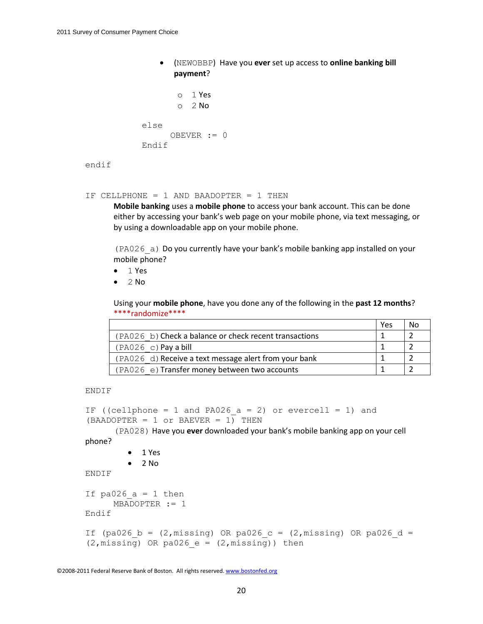(NEWOBBP) Have you **ever** set up access to **online banking bill payment**?

```
o 1 Yes
       o 2 No
else
     OBEVER := 0
Endif
```

```
endif
```
IF CELLPHONE = 1 AND BAADOPTER = 1 THEN

**Mobile banking** uses a **mobile phone** to access your bank account. This can be done either by accessing your bank's web page on your mobile phone, via text messaging, or by using a downloadable app on your mobile phone.

(PA026\_a) Do you currently have your bank's mobile banking app installed on your mobile phone?

- $\bullet$  1 Yes
- $\bullet$  2 No

Using your **mobile phone**, have you done any of the following in the **past 12 months**? \*\*\*\*randomize\*\*\*\*

|                                                        | Yes | <b>No</b> |
|--------------------------------------------------------|-----|-----------|
| (PA026 b) Check a balance or check recent transactions |     |           |
| $(PAO26 c)$ Pay a bill                                 |     |           |
| (PA026 d) Receive a text message alert from your bank  |     |           |
| (PA026 e) Transfer money between two accounts          |     |           |

ENDIF

```
IF ((cellphone = 1 and PA026 a = 2) or evercell = 1) and
(BAADOPTER = 1 or BAEVER = 1) THEN
```
(PA028) Have you **ever** downloaded your bank's mobile banking app on your cell phone?

```
 1 Yes
         \bullet 2 No
ENDIF
If pa026 a = 1 then
      MBADOPTER := 1
Endif
If (pa026 b = (2,missing) OR pa026 c = (2,missing) OR pa026 d =
(2, \text{missing}) OR pa026 e = (2, \text{missing})) then
```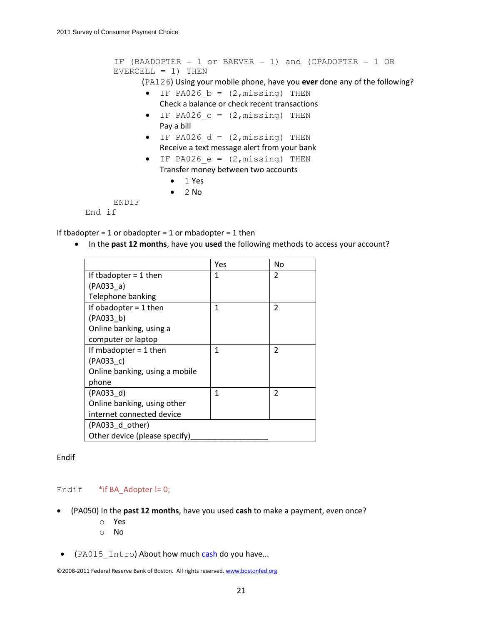```
IF (BAADOPTER = 1 or BAEVER = 1) and (CPADOPTER = 1 OR 
EVERCELL = 1) THEN
      (PA126) Using your mobile phone, have you ever done any of the following?
       \bullet IF PA026 b = (2, missing) THEN
          Check a balance or check recent transactions
       \bullet IF PA026 c = (2, missing) THEN
          Pay a bill
```
- $\bullet$  IF PA026 d = (2, missing) THEN Receive a text message alert from your bank
- $\bullet$  IF PA026  $e = (2, \text{missing})$  THEN Transfer money between two accounts
	- $-1$  Yes
	- $\bullet$  2 No

ENDIF

End if

If tbadopter =  $1$  or obadopter =  $1$  or mbadopter =  $1$  then

• In the **past 12 months**, have you used the following methods to access your account?

|                                | Yes | No             |  |  |
|--------------------------------|-----|----------------|--|--|
| If thadopter $=$ 1 then        | 1   | 2              |  |  |
| (PAO33 a)                      |     |                |  |  |
| Telephone banking              |     |                |  |  |
| If obadopter $=$ 1 then        | 1   | 2              |  |  |
| (PAO33 b)                      |     |                |  |  |
| Online banking, using a        |     |                |  |  |
| computer or laptop             |     |                |  |  |
| If mbadopter $= 1$ then        | 1   | $\overline{2}$ |  |  |
| (PAO33 c)                      |     |                |  |  |
| Online banking, using a mobile |     |                |  |  |
| phone                          |     |                |  |  |
| (PAO33 d)                      | 1   | $\mathfrak{p}$ |  |  |
| Online banking, using other    |     |                |  |  |
| internet connected device      |     |                |  |  |
| (PA033_d_other)                |     |                |  |  |
| Other device (please specify)  |     |                |  |  |

Endif

#### Endif  $*$ if BA\_Adopter != 0;

- (PA050) In the **past 12 months**, have you used **cash** to make a payment, even once?
	- o Yes
	- o No
- (PA015 Intro) About how much cash do you have...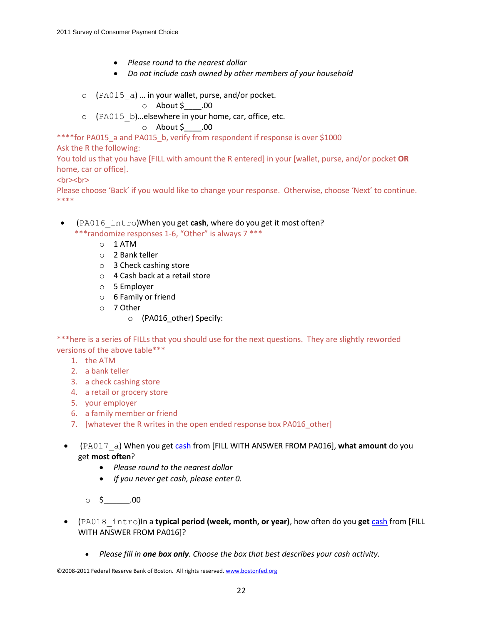- *Please round to the nearest dollar*
- *Do not include cash owned by other members of your household*
- $\circ$  (PA015 a) ... in your wallet, purse, and/or pocket.

 $\circ$  About \$ .00

o (PA015\_b)…elsewhere in your home, car, office, etc.

### $\circ$  About \$ .00

\*\*\*\*for PA015\_a and PA015\_b, verify from respondent if response is over \$1000

Ask the R the following:

You told us that you have [FILL with amount the R entered] in your [wallet, purse, and/or pocket **OR** home, car or office].

<br>>
<br>
<br>
<br>
<br/>
<br/>
<br/>
<br/>
<br/>
<br/>
<br/>
<br/>
<br/>
<br/>
<br/>
<br/>
<br/>
<br/>
<br/>
<br/>
<br/>
<br/>
<br/>
<br/>
<br/>
<br/>
<br/>
<br/>
<br/>
<br/>
<br/>
<br/>
<br/>
<br/>
<br/>
<br/>
<br/>
<br

Please choose 'Back' if you would like to change your response. Otherwise, choose 'Next' to continue. \*\*\*\*

- (PA016\_intro)When you get **cash**, where do you get it most often? \*\*\*randomize responses 1-6, "Other" is always 7 \*\*\*
	- o 1 ATM
	- o 2 Bank teller
	- o 3 Check cashing store
	- o 4 Cash back at a retail store
	- o 5 Employer
	- o 6 Family or friend
	- o 7 Other
		- o (PA016\_other) Specify:

\*\*\*here is a series of FILLs that you should use for the next questions. They are slightly reworded versions of the above table\*\*\*

- 1. the ATM
- 2. a bank teller
- 3. a check cashing store
- 4. a retail or grocery store
- 5. your employer
- 6. a family member or friend
- 7. [whatever the R writes in the open ended response box PA016\_other]
- (PA017\_a) When you get cash from [FILL WITH ANSWER FROM PA016], **what amount** do you get **most often**?
	- *Please round to the nearest dollar*
	- *If you never get cash, please enter 0.*
	- $\circ$  \$ .00
- (PA018\_intro)In a **typical period (week, month, or year)**, how often do you **get** cash from [FILL WITH ANSWER FROM PA016]?
	- *Please fill in one box only. Choose the box that best describes your cash activity.*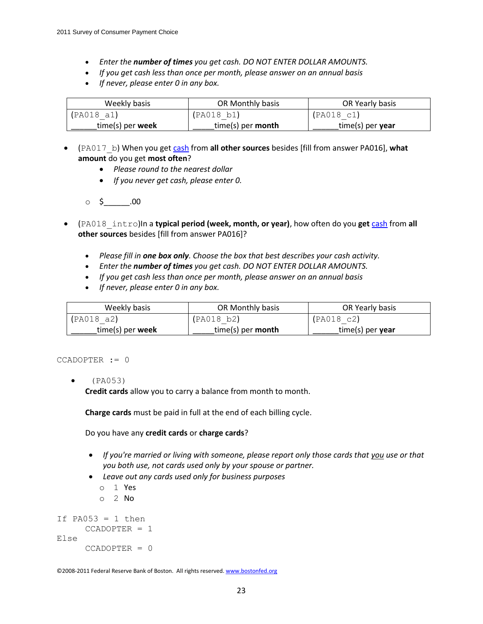- *Enter the number of times you get cash. DO NOT ENTER DOLLAR AMOUNTS.*
- *If you get cash less than once per month, please answer on an annual basis*
- *If never, please enter 0 in any box.*

| Weekly basis       | OR Monthly basis    | OR Yearly basis  |
|--------------------|---------------------|------------------|
| (PAO18 a1)         | (PAO18 b1)          | (PA018 c1)       |
| $time(s)$ per week | $time(s)$ per month | time(s) per year |

- (PA017\_b) When you get cash from **all other sources** besides [fill from answer PA016], **what amount** do you get **most often**?
	- *Please round to the nearest dollar*
	- *If you never get cash, please enter 0.*
	- $\circ$  \$ \_\_\_\_\_\_\_.00
- (PA018\_intro)In a **typical period (week, month, or year)**, how often do you **get** cash from **all other sources** besides [fill from answer PA016]?
	- *Please fill in one box only. Choose the box that best describes your cash activity.*
	- *Enter the number of times you get cash. DO NOT ENTER DOLLAR AMOUNTS.*
	- *If you get cash less than once per month, please answer on an annual basis*
	- *If never, please enter 0 in any box.*

| Weekly basis       | OR Monthly basis    | OR Yearly basis  |
|--------------------|---------------------|------------------|
| (PAO18 a2)         | (PAO18 b2)          | (PAO18 c2)       |
| $time(s)$ per week | $time(s)$ per month | time(s) per year |

#### CCADOPTER := 0

(PA053)

**Credit cards** allow you to carry a balance from month to month.

**Charge cards** must be paid in full at the end of each billing cycle.

Do you have any **credit cards** or **charge cards**?

- *If you're married or living with someone, please report only those cards that you use or that you both use, not cards used only by your spouse or partner.*
- *Leave out any cards used only for business purposes*
	- o 1 Yes
	- o 2 No

```
If PA053 = 1 then
     CCADOPTER = 1
Else
     CCADOPTER = 0
```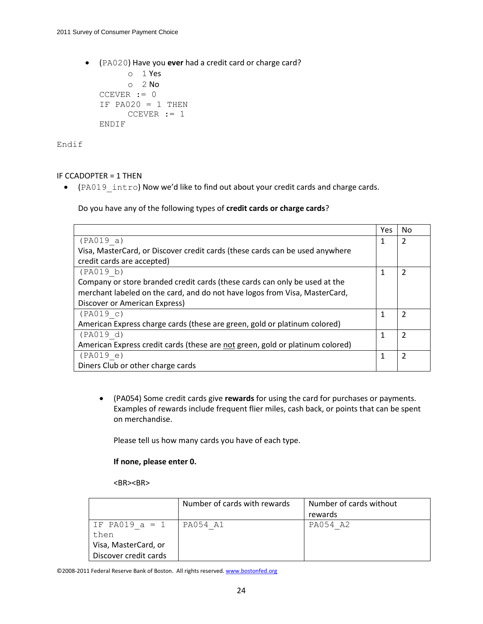(PA020) Have you **ever** had a credit card or charge card?

```
o 1 Yes
     o 2 No
CCEVER := 0
IF PA020 = 1 THEN
     CCEVER := 1ENDIF
```
Endif

### IF CCADOPTER = 1 THEN

• (PA019 intro) Now we'd like to find out about your credit cards and charge cards.

Do you have any of the following types of **credit cards or charge cards**?

|                                                                               | Yes | No |
|-------------------------------------------------------------------------------|-----|----|
| (PAO19 a)                                                                     | 1   |    |
| Visa, MasterCard, or Discover credit cards (these cards can be used anywhere  |     |    |
| credit cards are accepted)                                                    |     |    |
| (PAO19 b)                                                                     | 1   |    |
| Company or store branded credit cards (these cards can only be used at the    |     |    |
| merchant labeled on the card, and do not have logos from Visa, MasterCard,    |     |    |
| Discover or American Express)                                                 |     |    |
| (PAO19 c)                                                                     |     |    |
| American Express charge cards (these are green, gold or platinum colored)     |     |    |
| (PAO19 d)                                                                     | 1   |    |
| American Express credit cards (these are not green, gold or platinum colored) |     |    |
| (PAO19 e)                                                                     |     |    |
| Diners Club or other charge cards                                             |     |    |

 (PA054) Some credit cards give **rewards** for using the card for purchases or payments. Examples of rewards include frequent flier miles, cash back, or points that can be spent on merchandise.

Please tell us how many cards you have of each type.

#### **If none, please enter 0.**

 $<$ BR $>$  $<$ BR $>$ 

|                          | Number of cards with rewards | Number of cards without<br>rewards |
|--------------------------|------------------------------|------------------------------------|
| IF PA019 $a = 1$<br>then | PA054 A1                     | PA054 A2                           |
| Visa, MasterCard, or     |                              |                                    |
| Discover credit cards    |                              |                                    |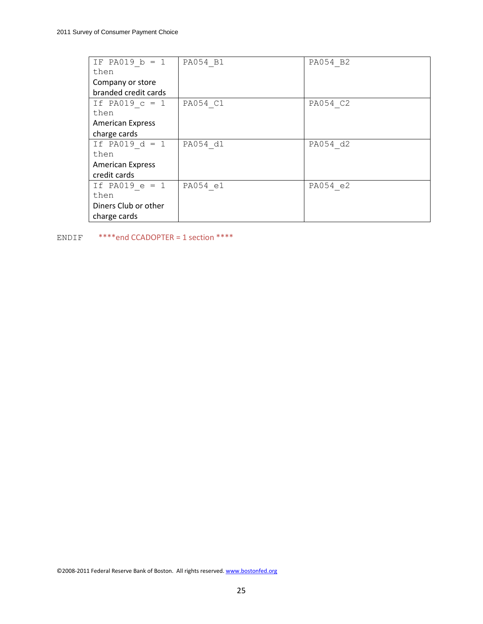| IF PA019 $b = 1$        | PA054 B1 | PA054 B2 |
|-------------------------|----------|----------|
| then                    |          |          |
| Company or store        |          |          |
| branded credit cards    |          |          |
| If PA019 $c = 1$        | PA054 C1 | PA054 C2 |
| then                    |          |          |
| <b>American Express</b> |          |          |
| charge cards            |          |          |
| If PA019 $d = 1$        | PA054 d1 | PA054 d2 |
| then                    |          |          |
| <b>American Express</b> |          |          |
| credit cards            |          |          |
| If PA019 $e = 1$        | PA054 e1 | PA054 e2 |
| then                    |          |          |
| Diners Club or other    |          |          |
| charge cards            |          |          |

ENDIF \*\*\*\*end CCADOPTER = 1 section \*\*\*\*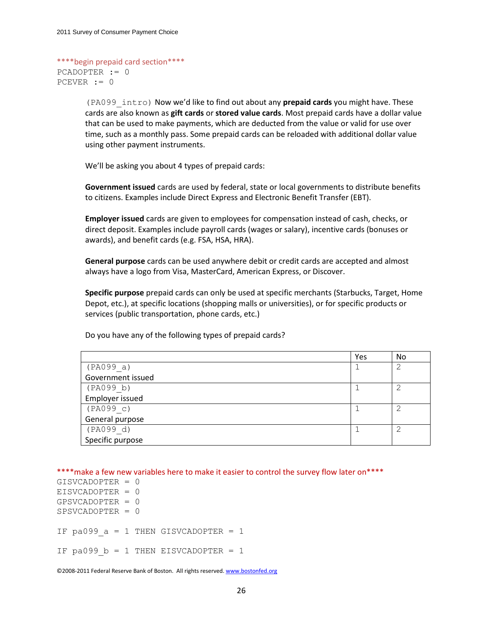```
****begin prepaid card section****
PCADOPTER := 0
PCEVER := 0
```
(PA099\_intro) Now we'd like to find out about any **prepaid cards** you might have. These cards are also known as **gift cards** or **stored value cards**. Most prepaid cards have a dollar value that can be used to make payments, which are deducted from the value or valid for use over time, such as a monthly pass. Some prepaid cards can be reloaded with additional dollar value using other payment instruments.

We'll be asking you about 4 types of prepaid cards:

**Government issued** cards are used by federal, state or local governments to distribute benefits to citizens. Examples include Direct Express and Electronic Benefit Transfer (EBT).

**Employer issued** cards are given to employees for compensation instead of cash, checks, or direct deposit. Examples include payroll cards (wages or salary), incentive cards (bonuses or awards), and benefit cards (e.g. FSA, HSA, HRA).

**General purpose** cards can be used anywhere debit or credit cards are accepted and almost always have a logo from Visa, MasterCard, American Express, or Discover.

**Specific purpose** prepaid cards can only be used at specific merchants (Starbucks, Target, Home Depot, etc.), at specific locations (shopping malls or universities), or for specific products or services (public transportation, phone cards, etc.)

Do you have any of the following types of prepaid cards?

|                   | Yes | No |
|-------------------|-----|----|
| (PAO99 a)         |     |    |
| Government issued |     |    |
| (PA099 b)         |     |    |
| Employer issued   |     |    |
| (PAO99 c)         |     | ⌒  |
| General purpose   |     |    |
| (PA099 d)         |     | ⌒  |
| Specific purpose  |     |    |

\*\*\*\*make a few new variables here to make it easier to control the survey flow later on\*\*\*\*

GISVCADOPTER = 0 EISVCADOPTER = 0 GPSVCADOPTER = 0 SPSVCADOPTER = 0 IF pa099  $a = 1$  THEN GISVCADOPTER = 1 IF pa099  $b = 1$  THEN EISVCADOPTER = 1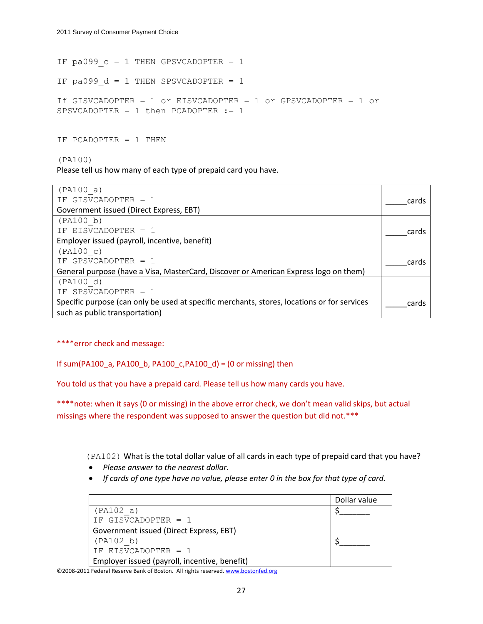IF pa099  $c = 1$  THEN GPSVCADOPTER = 1

IF pa099  $d = 1$  THEN SPSVCADOPTER = 1

```
If GISVCADOPTER = 1 or EISVCADOPTER = 1 or GPSVCADOPTER = 1 or 
SPSVCADOPTER = 1 then PCADOPTER := 1
```
IF PCADOPTER  $= 1$  THEN

(PA100)

Please tell us how many of each type of prepaid card you have.

| (PA100 a)                                                                                   |       |
|---------------------------------------------------------------------------------------------|-------|
| IF GISVCADOPTER = 1                                                                         | cards |
| Government issued (Direct Express, EBT)                                                     |       |
| (PA100 b)                                                                                   |       |
| IF EISVCADOPTER = 1                                                                         | cards |
| Employer issued (payroll, incentive, benefit)                                               |       |
| (PA100 c)                                                                                   |       |
| IF GPSVCADOPTER = 1                                                                         | cards |
| General purpose (have a Visa, MasterCard, Discover or American Express logo on them)        |       |
| (PA100 d)                                                                                   |       |
| IF SPSVCADOPTER = 1                                                                         |       |
| Specific purpose (can only be used at specific merchants, stores, locations or for services | cards |
| such as public transportation)                                                              |       |

\*\*\*\*error check and message:

If sum(PA100\_a, PA100\_b, PA100\_c,PA100\_d) = (0 or missing) then

You told us that you have a prepaid card. Please tell us how many cards you have.

\*\*\*\*note: when it says (0 or missing) in the above error check, we don't mean valid skips, but actual missings where the respondent was supposed to answer the question but did not.\*\*\*

(PA102) What is the total dollar value of all cards in each type of prepaid card that you have?

- *Please answer to the nearest dollar.*
- *If cards of one type have no value, please enter 0 in the box for that type of card.*

|                                               | Dollar value |
|-----------------------------------------------|--------------|
| (PA102 a)                                     |              |
| IF GISVCADOPTER = 1                           |              |
| Government issued (Direct Express, EBT)       |              |
| (PA102 b)                                     |              |
| IF EISVCADOPTER = 1                           |              |
| Employer issued (payroll, incentive, benefit) |              |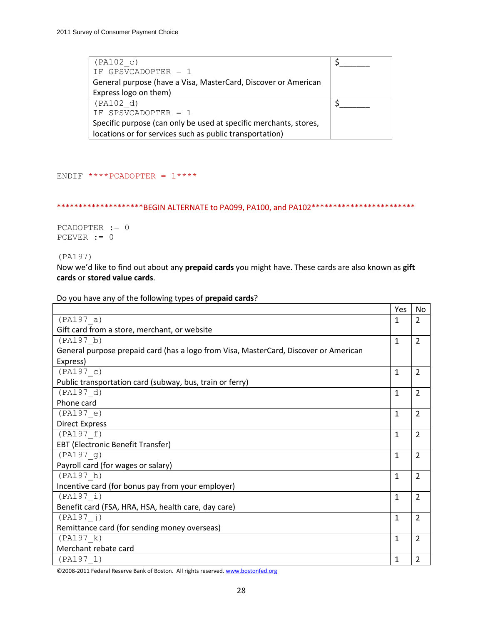| (PA102 c)                                                         |  |
|-------------------------------------------------------------------|--|
| IF GPSVCADOPTER = 1                                               |  |
| General purpose (have a Visa, MasterCard, Discover or American    |  |
| Express logo on them)                                             |  |
| (PA102 d)                                                         |  |
| IF SPSVCADOPTER = 1                                               |  |
| Specific purpose (can only be used at specific merchants, stores, |  |
| locations or for services such as public transportation)          |  |

ENDIF  $***PCADOPTER = 1***$ 

\*\*\*\*\*\*\*\*\*\*\*\*\*\*\*\*\*\*\*\*\*BEGIN ALTERNATE to PA099, PA100, and PA102\*\*\*\*\*\*\*\*\*\*\*\*\*\*\*\*\*\*\*\*\*\*\*\*

PCADOPTER := 0 PCEVER := 0

(PA197)

Now we'd like to find out about any **prepaid cards** you might have. These cards are also known as **gift cards** or **stored value cards**.

Do you have any of the following types of **prepaid cards**?

|                                                                                      | Yes          | No             |
|--------------------------------------------------------------------------------------|--------------|----------------|
| (PA197 a)                                                                            | $\mathbf{1}$ | $\overline{2}$ |
| Gift card from a store, merchant, or website                                         |              |                |
| (PA197 b)                                                                            | $\mathbf{1}$ | $\overline{2}$ |
| General purpose prepaid card (has a logo from Visa, MasterCard, Discover or American |              |                |
| Express)                                                                             |              |                |
| (PA197 c)                                                                            | $\mathbf{1}$ | $\overline{2}$ |
| Public transportation card (subway, bus, train or ferry)                             |              |                |
| (PA197 d)                                                                            | $\mathbf{1}$ | $\overline{2}$ |
| Phone card                                                                           |              |                |
| (PA197 e)                                                                            | $\mathbf{1}$ | 2              |
| <b>Direct Express</b>                                                                |              |                |
| (PA197 f)                                                                            | $\mathbf{1}$ | 2              |
| <b>EBT (Electronic Benefit Transfer)</b>                                             |              |                |
| (PA197 g)                                                                            | $\mathbf{1}$ | $\overline{2}$ |
| Payroll card (for wages or salary)                                                   |              |                |
| (PA197 h)                                                                            | $\mathbf{1}$ | 2              |
| Incentive card (for bonus pay from your employer)                                    |              |                |
| (PA197 i)                                                                            | $\mathbf{1}$ | $\overline{2}$ |
| Benefit card (FSA, HRA, HSA, health care, day care)                                  |              |                |
| (PA197 j)                                                                            | $\mathbf{1}$ | $\overline{2}$ |
| Remittance card (for sending money overseas)                                         |              |                |
| (PA197 k)                                                                            | $\mathbf{1}$ | $\overline{2}$ |
| Merchant rebate card                                                                 |              |                |
| (PA197 1)                                                                            | 1            | $\overline{2}$ |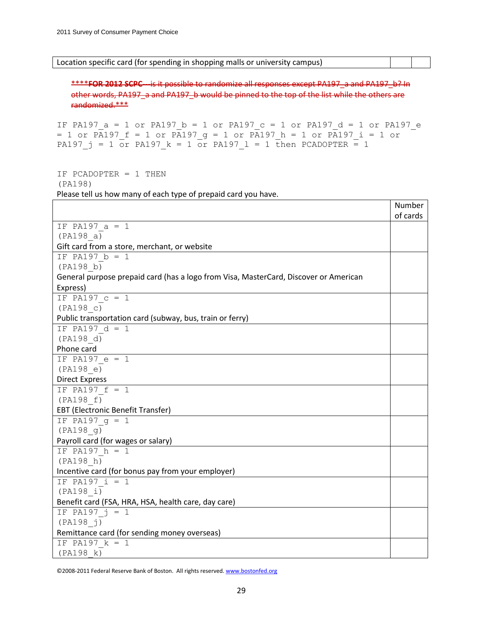Location specific card (for spending in shopping malls or university campus)

\*\*\*\***FOR 2012 SCPC**---is it possible to randomize all responses except PA197 a and PA197 b? In other words, PA197\_a and PA197\_b would be pinned to the top of the list while the others are randomized.\*\*\*

```
IF PA197_a = 1 or PA197_b = 1 or PA197_c = 1 or PA197_d = 1 or PA197_e
= 1 or PA197 f = 1 or PA197 g = 1 or PA197 h = 1 or PA197 i = 1 or
PA197 j = 1 or PA197 k = 1 or PA197 l = 1 then PCADOPTER = 1
```
IF PCADOPTER = 1 THEN (PA198) Please tell us how many of each type of prepaid card you have.

|                                                                                      | Number   |
|--------------------------------------------------------------------------------------|----------|
|                                                                                      | of cards |
| IF PA197 $a = 1$                                                                     |          |
| (PA198 a)                                                                            |          |
| Gift card from a store, merchant, or website                                         |          |
| IF PA197 $b = 1$                                                                     |          |
| (PA198 b)                                                                            |          |
| General purpose prepaid card (has a logo from Visa, MasterCard, Discover or American |          |
| Express)                                                                             |          |
| IF PA197 $c = 1$                                                                     |          |
| (PA198 c)                                                                            |          |
| Public transportation card (subway, bus, train or ferry)                             |          |
| IF PA197 $d = 1$                                                                     |          |
| (PA198 d)                                                                            |          |
| Phone card                                                                           |          |
| IF PA197 $e = 1$                                                                     |          |
| (PA198 e)                                                                            |          |
| <b>Direct Express</b>                                                                |          |
| IF PA197 $f = 1$                                                                     |          |
| (PA198 f)                                                                            |          |
| <b>EBT (Electronic Benefit Transfer)</b>                                             |          |
| IF PA197 $q = 1$                                                                     |          |
| (PA198 g)                                                                            |          |
| Payroll card (for wages or salary)                                                   |          |
| IF PA197 $h = 1$                                                                     |          |
| (PA198 h)                                                                            |          |
| Incentive card (for bonus pay from your employer)                                    |          |
| IF PA197 $i = 1$                                                                     |          |
| (PA198 i)                                                                            |          |
| Benefit card (FSA, HRA, HSA, health care, day care)                                  |          |
| IF PA197 $\dot{1} = 1$                                                               |          |
| (PA198 j)                                                                            |          |
| Remittance card (for sending money overseas)                                         |          |
| IF PA197 $k = 1$                                                                     |          |
| (PA198 k)                                                                            |          |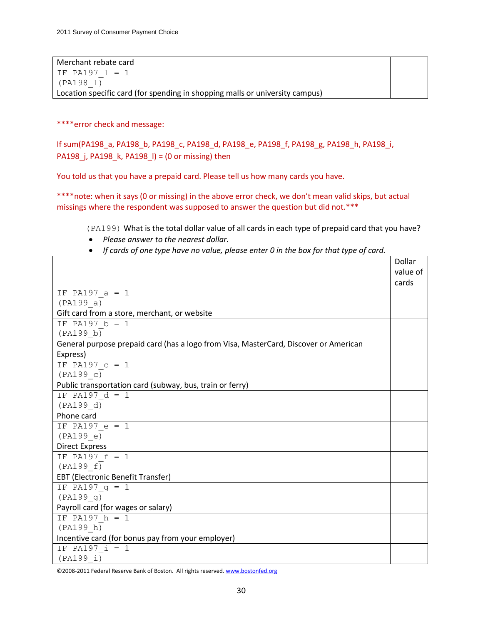| Merchant rebate card                                                         |  |
|------------------------------------------------------------------------------|--|
| IF PA197 $1 = 1$                                                             |  |
| (PA198 l)                                                                    |  |
| Location specific card (for spending in shopping malls or university campus) |  |

\*\*\*\*error check and message:

If sum(PA198\_a, PA198\_b, PA198\_c, PA198\_d, PA198\_e, PA198\_f, PA198\_g, PA198\_h, PA198\_i, PA198 j, PA198 k, PA198  $l$ ) = (0 or missing) then

You told us that you have a prepaid card. Please tell us how many cards you have.

\*\*\*\*note: when it says (0 or missing) in the above error check, we don't mean valid skips, but actual missings where the respondent was supposed to answer the question but did not.\*\*\*

(PA199) What is the total dollar value of all cards in each type of prepaid card that you have?

- *Please answer to the nearest dollar.*
- *If cards of one type have no value, please enter 0 in the box for that type of card.*

|                                                                                      | Dollar   |
|--------------------------------------------------------------------------------------|----------|
|                                                                                      | value of |
|                                                                                      | cards    |
| IF PA197 $a = 1$                                                                     |          |
| (PA199 a)                                                                            |          |
| Gift card from a store, merchant, or website                                         |          |
| IF PA197 $b = 1$                                                                     |          |
| (PA199 b)                                                                            |          |
| General purpose prepaid card (has a logo from Visa, MasterCard, Discover or American |          |
| Express)                                                                             |          |
| IF PA197 $c = 1$                                                                     |          |
| (PA199 c)                                                                            |          |
| Public transportation card (subway, bus, train or ferry)                             |          |
| IF PA197 $d = 1$                                                                     |          |
| (PA199 d)                                                                            |          |
| Phone card                                                                           |          |
| IF PA197 $e = 1$                                                                     |          |
| (PA199 e)                                                                            |          |
| <b>Direct Express</b>                                                                |          |
| IF PA197 $f = 1$                                                                     |          |
| (PA199 f)                                                                            |          |
| EBT (Electronic Benefit Transfer)                                                    |          |
| IF PA197 $g = 1$                                                                     |          |
| (PA199 g)                                                                            |          |
| Payroll card (for wages or salary)                                                   |          |
| IF PA197 $h = 1$                                                                     |          |
| (PA199 h)                                                                            |          |
| Incentive card (for bonus pay from your employer)                                    |          |
| IF PA197 $i = 1$                                                                     |          |
| (PA199 i)                                                                            |          |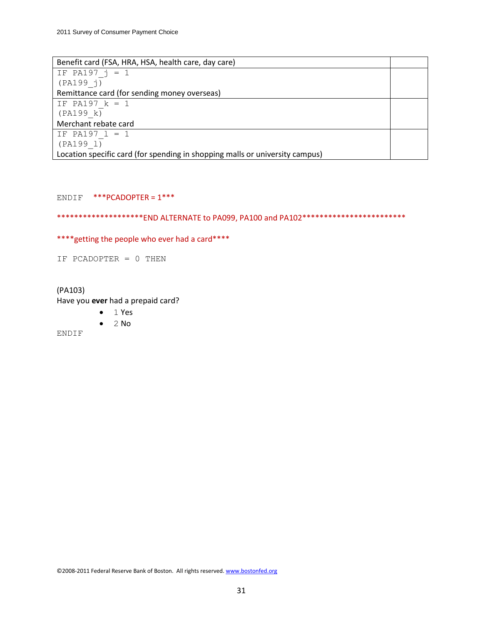| Benefit card (FSA, HRA, HSA, health care, day care)                          |  |
|------------------------------------------------------------------------------|--|
| IF PA197 $j = 1$                                                             |  |
| (PA199 j)                                                                    |  |
| Remittance card (for sending money overseas)                                 |  |
| IF PA197 $k = 1$                                                             |  |
| (PA199 k)                                                                    |  |
| Merchant rebate card                                                         |  |
| IF PA197 $1 = 1$                                                             |  |
| (PA199 1)                                                                    |  |
| Location specific card (for spending in shopping malls or university campus) |  |

### ENDIF \*\*\*PCADOPTER = 1\*\*\*

\*\*\*\*\*\*\*\*\*\*\*\*\*\*\*\*\*\*\*\*END ALTERNATE to PA099, PA100 and PA102\*\*\*\*\*\*\*\*\*\*\*\*\*\*\*\*\*\*\*\*\*\*

\*\*\*\* getting the people who ever had a card\*\*\*\*

IF PCADOPTER = 0 THEN

(PA103) Have you **ever** had a prepaid card?

- $-1$  Yes
- $\bullet$  2 No

ENDIF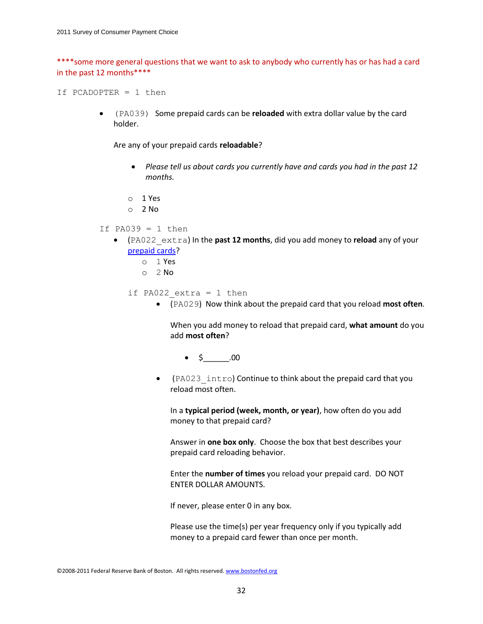\*\*\*\*some more general questions that we want to ask to anybody who currently has or has had a card in the past 12 months\*\*\*\*

If PCADOPTER = 1 then

 (PA039) Some prepaid cards can be **reloaded** with extra dollar value by the card holder.

Are any of your prepaid cards **reloadable**?

- *Please tell us about cards you currently have and cards you had in the past 12 months.*
- o 1 Yes
- o 2 No
- If PA039  $= 1$  then
	- (PA022\_extra) In the **past 12 months**, did you add money to **reload** any of your prepaid cards?
		- o 1 Yes
		- o 2 No

if PA022 extra = 1 then

(PA029) Now think about the prepaid card that you reload **most often**.

When you add money to reload that prepaid card, **what amount** do you add **most often**?

- $\bullet$  \$ .00
- (PA023\_intro) Continue to think about the prepaid card that you reload most often.

In a **typical period (week, month, or year)**, how often do you add money to that prepaid card?

Answer in **one box only**. Choose the box that best describes your prepaid card reloading behavior.

Enter the **number of times** you reload your prepaid card. DO NOT ENTER DOLLAR AMOUNTS.

If never, please enter 0 in any box.

Please use the time(s) per year frequency only if you typically add money to a prepaid card fewer than once per month.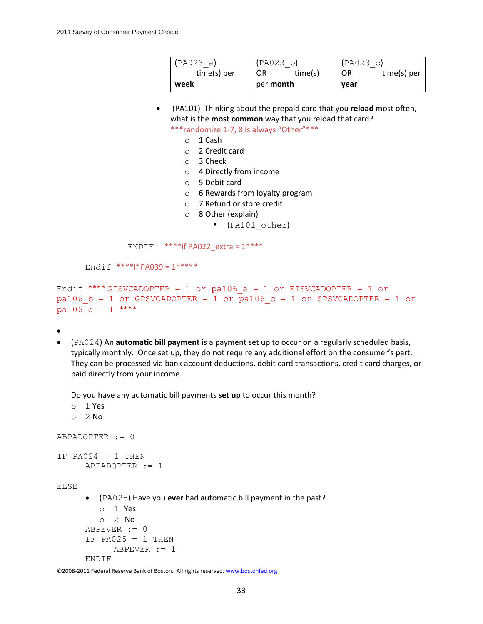| (PA023 a)   | (PAO23 b)        | (PAO23 c)         |
|-------------|------------------|-------------------|
| time(s) per | time(s)          | time(s) per<br>OR |
| week        | per <b>month</b> | year              |

 (PA101) Thinking about the prepaid card that you **reload** most often, what is the **most common** way that you reload that card?

\*\*\*randomize 1-7, 8 is always "Other"\*\*\*

- o 1 Cash
- o 2 Credit card
- o 3 Check
- o 4 Directly from income
- o 5 Debit card
- o 6 Rewards from loyalty program
- o 7 Refund or store credit
- o 8 Other (explain)
	- (PA101\_other)

ENDIF  $***$ if PA022 extra =  $1***$ 

Endif \*\*\*\*If  $PA039 = 1*****$ 

```
Endif **** GISVCADOPTER = 1 or pa106 a = 1 or EISVCADOPTER = 1 or
pa106 b = 1 or GPSVCADOPTER = 1 or pa106 c = 1 or SPSVCADOPTER = 1 or
pa106 d = 1 ****
```
 $\bullet$ 

 (PA024) An **automatic bill payment** is a payment set up to occur on a regularly scheduled basis, typically monthly. Once set up, they do not require any additional effort on the consumer's part. They can be processed via bank account deductions, debit card transactions, credit card charges, or paid directly from your income.

Do you have any automatic bill payments **set up** to occur this month?

```
o 1 Yes
   o 2 No 
ABPADOPTER := 0
IF PA024 = 1 THEN
      ABPADOPTER := 1
ELSE
       (PA025) Have you ever had automatic bill payment in the past?
         o 1 Yes
         o 2 No
      ABPEVER := 0
      IF PA025 = 1 THEN
            ABPEVER := 1
      ENDIF
```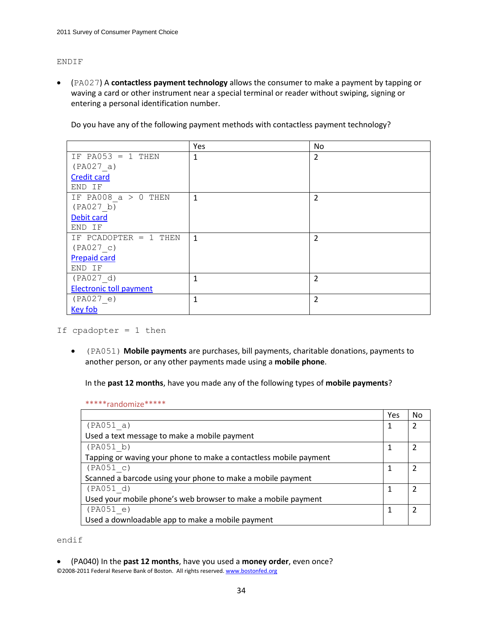#### ENDIF

 (PA027) A **contactless payment technology** allows the consumer to make a payment by tapping or waving a card or other instrument near a special terminal or reader without swiping, signing or entering a personal identification number.

|                                | Yes          | No             |
|--------------------------------|--------------|----------------|
| IF PA053 = 1 THEN              | 1            | $\overline{2}$ |
| (PAO27 a)                      |              |                |
| <b>Credit card</b>             |              |                |
| END IF                         |              |                |
| IF PA008 $a > 0$ THEN          | $\mathbf{1}$ | $\overline{2}$ |
| (PAO27 b)                      |              |                |
| Debit card                     |              |                |
| END IF                         |              |                |
| IF PCADOPTER = $1$ THEN        | $\mathbf{1}$ | $\overline{2}$ |
| (PAO27 c)                      |              |                |
| <b>Prepaid card</b>            |              |                |
| END IF                         |              |                |
| (PAO27 d)                      | 1            | $\overline{2}$ |
| <b>Electronic toll payment</b> |              |                |
| (PAO27 e)                      | 1            | $\overline{2}$ |
| <b>Key fob</b>                 |              |                |

Do you have any of the following payment methods with contactless payment technology?

If cpadopter = 1 then

 (PA051) **Mobile payments** are purchases, bill payments, charitable donations, payments to another person, or any other payments made using a **mobile phone**.

In the **past 12 months**, have you made any of the following types of **mobile payments**?

\*\*\*\*\*randomize\*\*\*\*\*

|                                                                   | Yes | No |
|-------------------------------------------------------------------|-----|----|
| (PAO51 a)                                                         |     |    |
| Used a text message to make a mobile payment                      |     |    |
| (PAO51 b)                                                         |     |    |
| Tapping or waving your phone to make a contactless mobile payment |     |    |
| (PAO51 c)                                                         |     |    |
| Scanned a barcode using your phone to make a mobile payment       |     |    |
| (PAO51 d)                                                         |     |    |
| Used your mobile phone's web browser to make a mobile payment     |     |    |
| (PAO51 e)                                                         |     |    |
| Used a downloadable app to make a mobile payment                  |     |    |

endif

©2008-2011 Federal Reserve Bank of Boston. All rights reserved. www.bostonfed.org (PA040) In the **past 12 months**, have you used a **money order**, even once?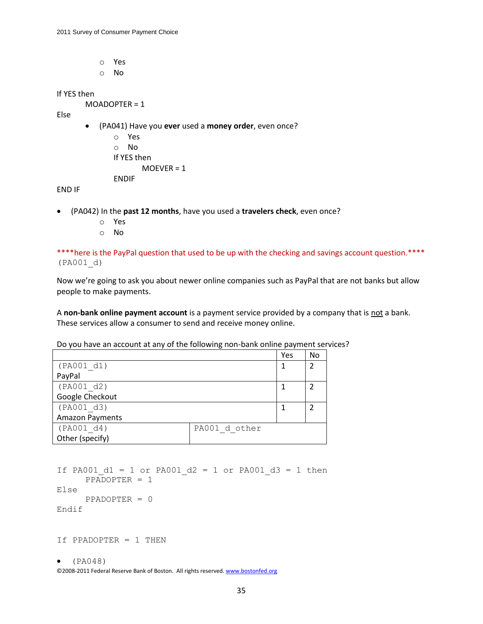- o Yes
- o No

If YES then

MOADOPTER = 1

Else

- (PA041) Have you **ever** used a **money order**, even once?
	- o Yes o No If YES then  $MOEVER = 1$ ENDIF

END IF

- (PA042) In the **past 12 months**, have you used a **travelers check**, even once?
	- o Yes
	- o No

\*\*\*\*here is the PayPal question that used to be up with the checking and savings account question. \*\*\*\* (PA001\_d)

Now we're going to ask you about newer online companies such as PayPal that are not banks but allow people to make payments.

A **non-bank online payment account** is a payment service provided by a company that is not a bank. These services allow a consumer to send and receive money online.

Do you have an account at any of the following non-bank online payment services?

| (PA001 d1)<br>$\mathcal{D}$<br>PayPal<br>(PA001 d2)<br>Google Checkout<br>(PA001 d3)<br><b>Amazon Payments</b><br>(PA001 d4)<br>PA001 d other |                 | Yes | No |
|-----------------------------------------------------------------------------------------------------------------------------------------------|-----------------|-----|----|
|                                                                                                                                               |                 |     |    |
|                                                                                                                                               |                 |     |    |
|                                                                                                                                               |                 |     |    |
|                                                                                                                                               |                 |     |    |
|                                                                                                                                               |                 |     |    |
|                                                                                                                                               |                 |     |    |
|                                                                                                                                               |                 |     |    |
|                                                                                                                                               | Other (specify) |     |    |

```
If PA001 d1 = 1 or PA001 d2 = 1 or PA001 d3 = 1 then
     PPADOPTER = 1
Else
     PPADOPTER = 0
Endif
```
If PPADOPTER = 1 THEN

```
\bullet (PA048)
```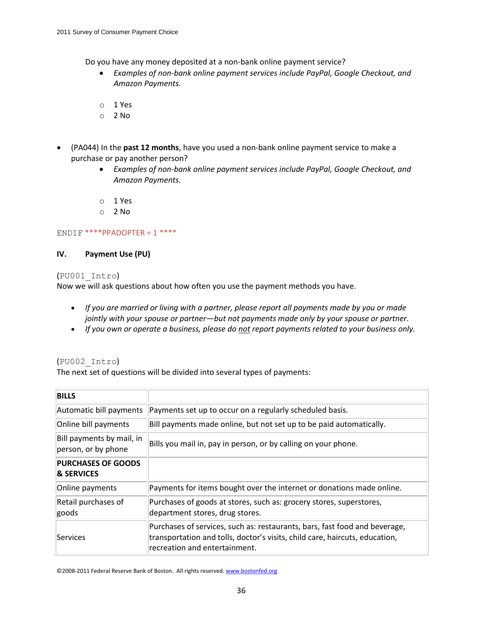Do you have any money deposited at a non-bank online payment service?

- *Examples of non-bank online payment services include PayPal, Google Checkout, and Amazon Payments.*
- o 1 Yes
- $O<sub>2</sub>$  No
- (PA044) In the **past 12 months**, have you used a non-bank online payment service to make a purchase or pay another person?
	- *Examples of non-bank online payment services include PayPal, Google Checkout, and Amazon Payments.*
	- o 1 Yes
	- o 2 No

### ENDIF  $***$ PPADOPTER = 1  $***$

### **IV. Payment Use (PU)**

### (PU001\_Intro)

Now we will ask questions about how often you use the payment methods you have.

- *If you are married or living with a partner, please report all payments made by you or made jointly with your spouse or partner—but not payments made only by your spouse or partner.*
- *If you own or operate a business, please do not report payments related to your business only.*

### (PU002\_Intro)

The next set of questions will be divided into several types of payments:

| <b>BILLS</b>                                       |                                                                                                                                                                                            |
|----------------------------------------------------|--------------------------------------------------------------------------------------------------------------------------------------------------------------------------------------------|
| Automatic bill payments                            | Payments set up to occur on a regularly scheduled basis.                                                                                                                                   |
| Online bill payments                               | Bill payments made online, but not set up to be paid automatically.                                                                                                                        |
| Bill payments by mail, in<br>person, or by phone   | Bills you mail in, pay in person, or by calling on your phone.                                                                                                                             |
| <b>PURCHASES OF GOODS</b><br><b>&amp; SERVICES</b> |                                                                                                                                                                                            |
| Online payments                                    | Payments for items bought over the internet or donations made online.                                                                                                                      |
| Retail purchases of<br>goods                       | Purchases of goods at stores, such as: grocery stores, superstores,<br>department stores, drug stores.                                                                                     |
| <b>Services</b>                                    | Purchases of services, such as: restaurants, bars, fast food and beverage,<br>transportation and tolls, doctor's visits, child care, haircuts, education,<br>recreation and entertainment. |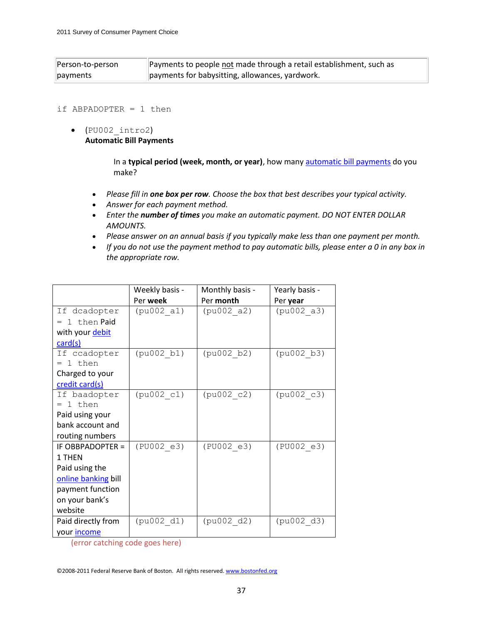| Person-to-person | Payments to people not made through a retail establishment, such as |
|------------------|---------------------------------------------------------------------|
| payments         | payments for babysitting, allowances, yardwork.                     |

#### if ABPADOPTER = 1 then

 $\bullet$  (PU002 intro2) **Automatic Bill Payments**

> In a **typical period (week, month, or year)**, how many automatic bill payments do you make?

- *Please fill in one box per row. Choose the box that best describes your typical activity.*
- *Answer for each payment method.*
- *Enter the number of times you make an automatic payment. DO NOT ENTER DOLLAR AMOUNTS.*
- *Please answer on an annual basis if you typically make less than one payment per month.*
- *If you do not use the payment method to pay automatic bills, please enter a 0 in any box in the appropriate row.*

|                     | Weekly basis - | Monthly basis - | Yearly basis - |
|---------------------|----------------|-----------------|----------------|
|                     | Per week       | Per month       | Per year       |
| If dcadopter        | (pu002 a1)     | (pu002 a2)      | (pu002 a3)     |
| $= 1$ then Paid     |                |                 |                |
| with your debit     |                |                 |                |
| card(s)             |                |                 |                |
| If ccadopter        | (pu002 b1)     | (pu002 b2)      | (pu002 b3)     |
| $= 1$ then          |                |                 |                |
| Charged to your     |                |                 |                |
| credit card(s)      |                |                 |                |
| If baadopter        | (pu002 c1)     | (pu002 c2)      | (pu002 c3)     |
| $= 1$ then          |                |                 |                |
| Paid using your     |                |                 |                |
| bank account and    |                |                 |                |
| routing numbers     |                |                 |                |
| IF OBBPADOPTER =    | (PU002 e3)     | (PU002 e3)      | (PU002 e3)     |
| 1 THEN              |                |                 |                |
| Paid using the      |                |                 |                |
| online banking bill |                |                 |                |
| payment function    |                |                 |                |
| on your bank's      |                |                 |                |
| website             |                |                 |                |
| Paid directly from  | (pu002 d1)     | (pu002 d2)      | (pu002 d3)     |
| your <i>income</i>  |                |                 |                |

(error catching code goes here)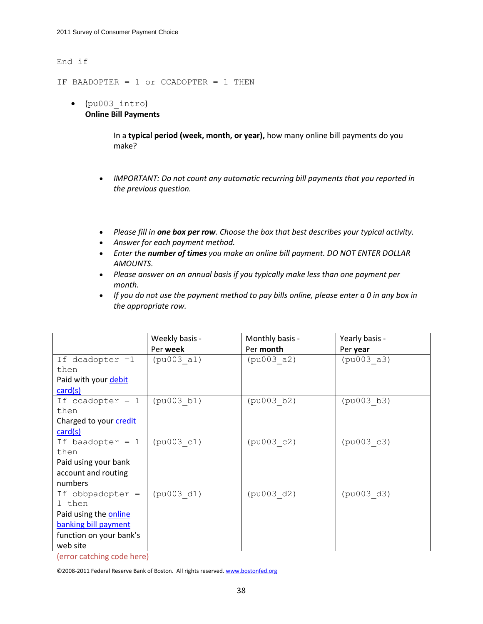#### End if

IF BAADOPTER = 1 or CCADOPTER = 1 THEN

 (pu003\_intro) **Online Bill Payments**

> In a **typical period (week, month, or year),** how many online bill payments do you make?

- *IMPORTANT: Do not count any automatic recurring bill payments that you reported in the previous question.*
- *Please fill in one box per row. Choose the box that best describes your typical activity.*
- *Answer for each payment method.*
- *Enter the number of times you make an online bill payment. DO NOT ENTER DOLLAR AMOUNTS.*
- *Please answer on an annual basis if you typically make less than one payment per month.*
- *If you do not use the payment method to pay bills online, please enter a 0 in any box in the appropriate row.*

|                         | Weekly basis - | Monthly basis - | Yearly basis - |
|-------------------------|----------------|-----------------|----------------|
|                         | Per week       | Per month       | Per year       |
| If dcadopter =1         | (pu003 a1)     | (pu003 a2)      | (pu003 a3)     |
| then                    |                |                 |                |
| Paid with your debit    |                |                 |                |
| card(s)                 |                |                 |                |
| If $ccadopter = 1$      | (pu003 b1)     | (pu003 b2)      | (pu003 b3)     |
| then                    |                |                 |                |
| Charged to your credit  |                |                 |                |
| card(s)                 |                |                 |                |
| If baadopter $= 1$      | (pu003 c1)     | (pu003 c2)      | (pu003 c3)     |
| then                    |                |                 |                |
| Paid using your bank    |                |                 |                |
| account and routing     |                |                 |                |
| numbers                 |                |                 |                |
| If obbpadopter =        | (pu003 d1)     | (pu003 d2)      | (pu003 d3)     |
| 1 then                  |                |                 |                |
| Paid using the online   |                |                 |                |
| banking bill payment    |                |                 |                |
| function on your bank's |                |                 |                |
| web site                |                |                 |                |

(error catching code here)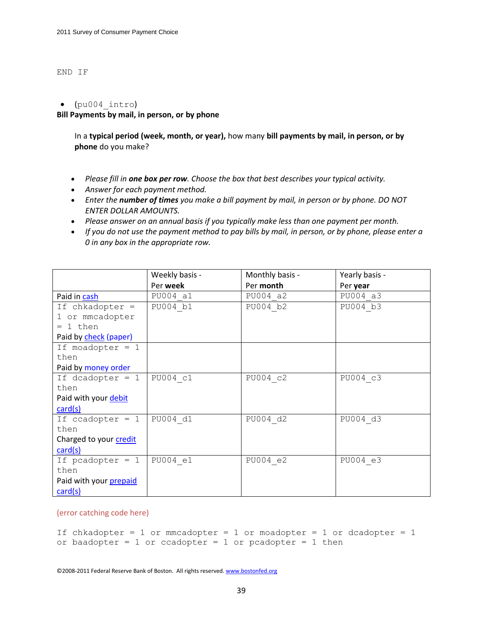#### END IF

#### $\bullet$  (pu004 intro)

**Bill Payments by mail, in person, or by phone**

In a **typical period (week, month, or year),** how many **bill payments by mail, in person, or by phone** do you make?

- *Please fill in one box per row. Choose the box that best describes your typical activity.*
- *Answer for each payment method.*
- *Enter the number of times you make a bill payment by mail, in person or by phone. DO NOT ENTER DOLLAR AMOUNTS.*
- *Please answer on an annual basis if you typically make less than one payment per month.*
- *If you do not use the payment method to pay bills by mail, in person, or by phone, please enter a 0 in any box in the appropriate row.*

|                        | Weekly basis - | Monthly basis - | Yearly basis - |
|------------------------|----------------|-----------------|----------------|
|                        | Per week       | Per month       | Per year       |
| Paid in cash           | PU004 a1       | PU004 a2        | PU004 a3       |
| If chkadopter =        | PU004 b1       | PU004 b2        | PU004 b3       |
| 1 or mmcadopter        |                |                 |                |
| 1 then<br>$=$          |                |                 |                |
| Paid by check (paper)  |                |                 |                |
| If moadopter = $1$     |                |                 |                |
| then                   |                |                 |                |
| Paid by money order    |                |                 |                |
| If dcadopter $= 1$     | PU004 c1       | PU004 c2        | PU004 c3       |
| then                   |                |                 |                |
| Paid with your debit   |                |                 |                |
| card(s)                |                |                 |                |
| If ccadopter $= 1$     | PU004 d1       | PU004 d2        | PU004 d3       |
| then                   |                |                 |                |
| Charged to your credit |                |                 |                |
| card(s)                |                |                 |                |
| If pcadopter $= 1$     | PU004 e1       | PU004 e2        | PU004 e3       |
| then                   |                |                 |                |
| Paid with your prepaid |                |                 |                |
| card(s)                |                |                 |                |

#### (error catching code here)

```
If chkadopter = 1 or mmcadopter = 1 or moadopter = 1 or dcadopter = 1
or baadopter = 1 or ccadopter = 1 or pcadopter = 1 then
```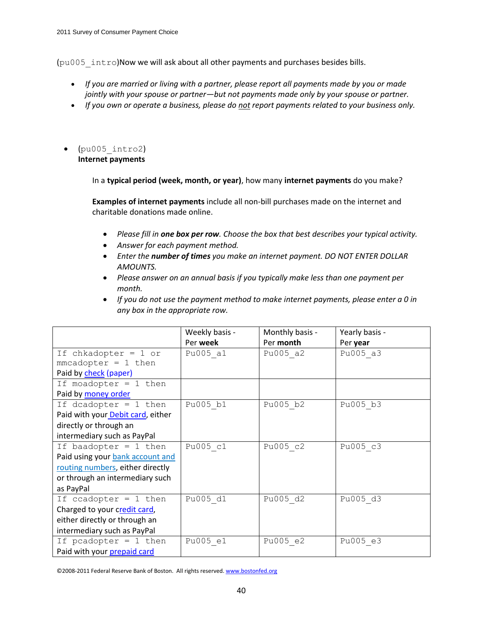(pu005\_intro)Now we will ask about all other payments and purchases besides bills.

- *If you are married or living with a partner, please report all payments made by you or made jointly with your spouse or partner—but not payments made only by your spouse or partner.*
- *If you own or operate a business, please do not report payments related to your business only.*
- (pu005\_intro2) **Internet payments**

In a **typical period (week, month, or year)**, how many **internet payments** do you make?

**Examples of internet payments** include all non-bill purchases made on the internet and charitable donations made online.

- *Please fill in one box per row. Choose the box that best describes your typical activity.*
- *Answer for each payment method.*
- *Enter the number of times you make an internet payment. DO NOT ENTER DOLLAR AMOUNTS.*
- *Please answer on an annual basis if you typically make less than one payment per month.*
- *If you do not use the payment method to make internet payments, please enter a 0 in any box in the appropriate row.*

|                                   | Weekly basis - | Monthly basis - | Yearly basis - |
|-----------------------------------|----------------|-----------------|----------------|
|                                   | Per week       | Per month       | Per year       |
| If chkadopter = $1$ or            | Pu005 a1       | Pu005 a2        | Pu005 a3       |
| $mmcadopter = 1 then$             |                |                 |                |
| Paid by check (paper)             |                |                 |                |
| If moadopter = $1$ then           |                |                 |                |
| Paid by money order               |                |                 |                |
| If dcadopter = $1$ then           | Pu005 b1       | Pu005 b2        | Pu005 b3       |
| Paid with your Debit card, either |                |                 |                |
| directly or through an            |                |                 |                |
| intermediary such as PayPal       |                |                 |                |
| If baadopter = $1$ then           | Pu005 c1       | Pu005 c2        | Pu005 c3       |
| Paid using your bank account and  |                |                 |                |
| routing numbers, either directly  |                |                 |                |
| or through an intermediary such   |                |                 |                |
| as PayPal                         |                |                 |                |
| If ccadopter = $1$ then           | Pu005 d1       | Pu005 d2        | Pu005 d3       |
| Charged to your credit card,      |                |                 |                |
| either directly or through an     |                |                 |                |
| intermediary such as PayPal       |                |                 |                |
| If pcadopter = $1$ then           | Pu005 e1       | Pu005 e2        | Pu005 e3       |
| Paid with your prepaid card       |                |                 |                |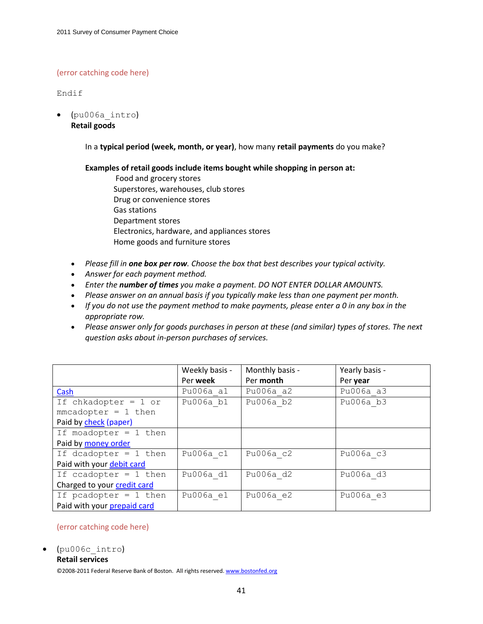### (error catching code here)

Endif

 (pu006a\_intro) **Retail goods**

In a **typical period (week, month, or year)**, how many **retail payments** do you make?

**Examples of retail goods include items bought while shopping in person at:**

- Food and grocery stores Superstores, warehouses, club stores Drug or convenience stores Gas stations Department stores Electronics, hardware, and appliances stores Home goods and furniture stores
- *Please fill in one box per row. Choose the box that best describes your typical activity.*
- *Answer for each payment method.*
- *Enter the number of times you make a payment. DO NOT ENTER DOLLAR AMOUNTS.*
- *Please answer on an annual basis if you typically make less than one payment per month.*
- *If you do not use the payment method to make payments, please enter a 0 in any box in the appropriate row.*
- *Please answer only for goods purchases in person at these (and similar) types of stores. The next question asks about in-person purchases of services.*

|                             | Weekly basis - | Monthly basis - | Yearly basis - |
|-----------------------------|----------------|-----------------|----------------|
|                             | Per week       | Per month       | Per year       |
| Cash                        | Pu006a a1      | Pu006a a2       | Pu006a a3      |
| If chkadopter = $1$ or      | Pu006a b1      | Pu006a b2       | Pu006a b3      |
| $mmcadopter = 1 then$       |                |                 |                |
| Paid by check (paper)       |                |                 |                |
| If moadopter = $1$ then     |                |                 |                |
| Paid by money order         |                |                 |                |
| If dcadopter = $1$ then     | Pu006a c1      | Pu006a c2       | Pu006a c3      |
| Paid with your debit card   |                |                 |                |
| If ccadopter = $1$ then     | Pu006a d1      | Pu006a d2       | Pu006a d3      |
| Charged to your credit card |                |                 |                |
| If pcadopter = $1$ then     | Pu006a e1      | Pu006a e2       | Pu006a e3      |
| Paid with your prepaid card |                |                 |                |

### (error catching code here)

(pu006c\_intro)

#### **Retail services**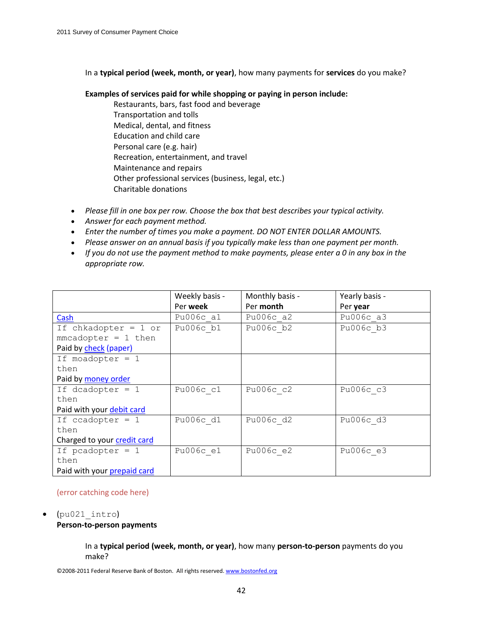In a **typical period (week, month, or year)**, how many payments for **services** do you make?

### **Examples of services paid for while shopping or paying in person include:**

- Restaurants, bars, fast food and beverage Transportation and tolls Medical, dental, and fitness Education and child care Personal care (e.g. hair) Recreation, entertainment, and travel Maintenance and repairs Other professional services (business, legal, etc.) Charitable donations
- *Please fill in one box per row. Choose the box that best describes your typical activity.*
- *Answer for each payment method.*
- *Enter the number of times you make a payment. DO NOT ENTER DOLLAR AMOUNTS.*
- *Please answer on an annual basis if you typically make less than one payment per month.*
- *If you do not use the payment method to make payments, please enter a 0 in any box in the appropriate row.*

|                             | Weekly basis - | Monthly basis - | Yearly basis - |
|-----------------------------|----------------|-----------------|----------------|
|                             | Per week       | Per month       | Per year       |
| Cash                        | Pu006c a1      | Pu006c a2       | Pu006c a3      |
| If chkadopter = $1$ or      | Pu $006c$ bl   | Pu006c b2       | Pu006c b3      |
| $mmcadopter = 1 then$       |                |                 |                |
| Paid by check (paper)       |                |                 |                |
| If moadopter $= 1$          |                |                 |                |
| then                        |                |                 |                |
| Paid by money order         |                |                 |                |
| If dcadopter $= 1$          | Pu006c c1      | Pu006c c2       | Pu006c c3      |
| then                        |                |                 |                |
| Paid with your debit card   |                |                 |                |
| If ccadopter $= 1$          | Pu006c d1      | Pu006c d2       | Pu006c d3      |
| then                        |                |                 |                |
| Charged to your credit card |                |                 |                |
| If pcadopter $= 1$          | Pu006c e1      | Pu006c e2       | Pu006c e3      |
| then                        |                |                 |                |
| Paid with your prepaid card |                |                 |                |

### (error catching code here)

### (pu021\_intro)

### **Person-to-person payments**

In a **typical period (week, month, or year)**, how many **person-to-person** payments do you make?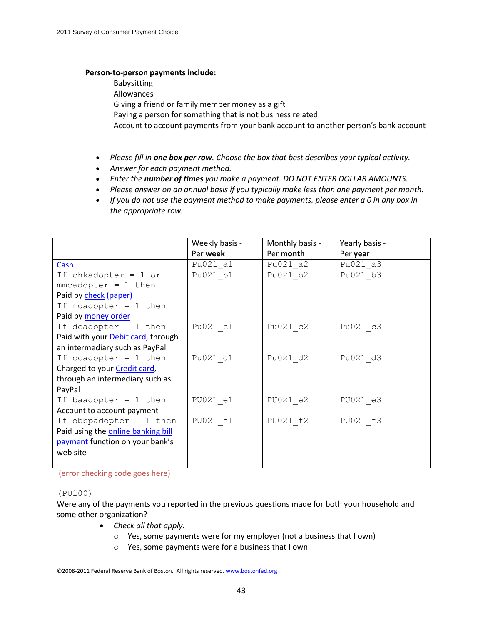### **Person-to-person payments include:**

Babysitting

Allowances

Giving a friend or family member money as a gift

Paying a person for something that is not business related

Account to account payments from your bank account to another person's bank account

- *Please fill in one box per row. Choose the box that best describes your typical activity.*
- *Answer for each payment method.*
- *Enter the number of times you make a payment. DO NOT ENTER DOLLAR AMOUNTS.*
- *Please answer on an annual basis if you typically make less than one payment per month.*
- *If you do not use the payment method to make payments, please enter a 0 in any box in the appropriate row.*

|                                    | Weekly basis - | Monthly basis - | Yearly basis - |
|------------------------------------|----------------|-----------------|----------------|
|                                    | Per week       | Per month       | Per year       |
| Cash                               | Pu021 a1       | Pu021 a2        | Pu021 a3       |
| If chkadopter = $1$ or             | Pu021 b1       | Pu021 b2        | Pu021 b3       |
| $mmcadopter = 1 then$              |                |                 |                |
| Paid by check (paper)              |                |                 |                |
| If moadopter = $1$ then            |                |                 |                |
| Paid by money order                |                |                 |                |
| If dcadopter = $1$ then            | Pu021 c1       | Pu021 c2        | Pu021 c3       |
| Paid with your Debit card, through |                |                 |                |
| an intermediary such as PayPal     |                |                 |                |
| If ccadopter = $1$ then            | Pu021 d1       | Pu021 d2        | Pu021 d3       |
| Charged to your Credit card,       |                |                 |                |
| through an intermediary such as    |                |                 |                |
| PayPal                             |                |                 |                |
| If baadopter = $1$ then            | PU021 e1       | PU021 e2        | PU021 e3       |
| Account to account payment         |                |                 |                |
| If obbpadopter = $1$ then          | PU021 f1       | PU021 f2        | PU021 f3       |
| Paid using the online banking bill |                |                 |                |
| payment function on your bank's    |                |                 |                |
| web site                           |                |                 |                |
|                                    |                |                 |                |

(error checking code goes here)

### (PU100)

Were any of the payments you reported in the previous questions made for both your household and some other organization?

- *Check all that apply.*
	- o Yes, some payments were for my employer (not a business that I own)
	- o Yes, some payments were for a business that I own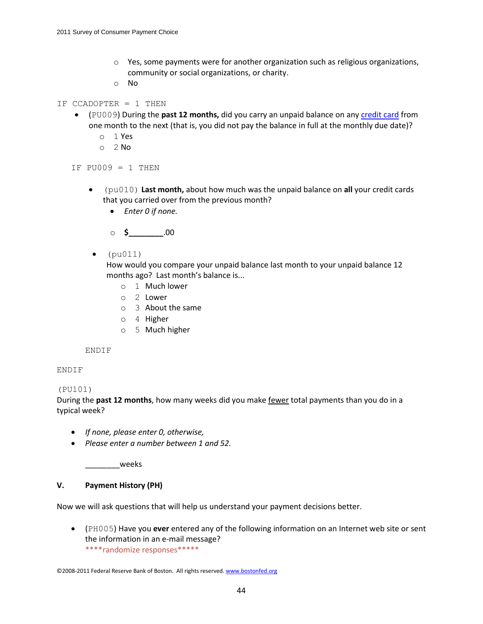- $\circ$  Yes, some payments were for another organization such as religious organizations, community or social organizations, or charity.
- o No
- IF CCADOPTER = 1 THEN
	- (PU009) During the **past 12 months,** did you carry an unpaid balance on any credit card from one month to the next (that is, you did not pay the balance in full at the monthly due date)?
		- o 1 Yes
		- o 2 No

IF  $PU009 = 1$  THEN

- (pu010) **Last month,** about how much was the unpaid balance on **all** your credit cards that you carried over from the previous month?
	- *Enter 0 if none.*

o **\$\_\_\_\_\_\_\_\_**.00

 $\bullet$  (pu011)

How would you compare your unpaid balance last month to your unpaid balance 12 months ago? Last month's balance is...

- o 1 Much lower
- o 2 Lower
- o 3 About the same
- o 4 Higher
- o 5 Much higher

ENDIF

### ENDIF

### (PU101)

During the **past 12 months**, how many weeks did you make fewer total payments than you do in a typical week?

- *If none, please enter 0, otherwise,*
- *Please enter a number between 1 and 52.*

\_\_\_\_\_\_\_\_weeks

### **V. Payment History (PH)**

Now we will ask questions that will help us understand your payment decisions better.

 (PH005) Have you **ever** entered any of the following information on an Internet web site or sent the information in an e-mail message? \*\*\*\*randomize responses\*\*\*\*\*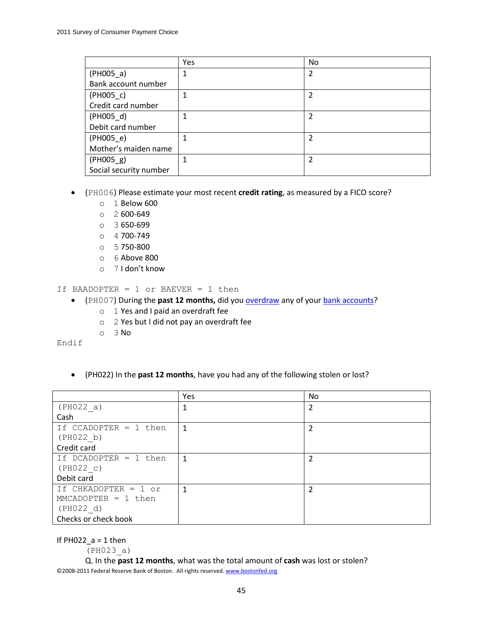|                        | Yes | N <sub>o</sub> |
|------------------------|-----|----------------|
| $(PH005_a)$            |     | 2              |
| Bank account number    |     |                |
| $(PH005_c)$            |     | 2              |
| Credit card number     |     |                |
| $(PH005_d)$            |     | 2              |
| Debit card number      |     |                |
| $(PH005_e)$            |     | $\mathfrak{p}$ |
| Mother's maiden name   |     |                |
| $(PH005_g)$            |     | 2              |
| Social security number |     |                |

(PH006) Please estimate your most recent **credit rating**, as measured by a FICO score?

- o 1 Below 600
- $O<sup>2</sup> 600-649$
- o 3 650-699
- o 4 700-749
- o 5 750-800
- o 6 Above 800
- o 7 I don't know

If BAADOPTER = 1 or BAEVER = 1 then

- (PH007) During the past 12 months, did you **overdraw** any of your **bank accounts?** 
	- o 1 Yes and I paid an overdraft fee
	- o 2 Yes but I did not pay an overdraft fee
	- o 3 No

Endif

(PH022) In the **past 12 months**, have you had any of the following stolen or lost?

|                         | Yes | <b>No</b>      |
|-------------------------|-----|----------------|
| (PH022 a)               |     | 2              |
| Cash                    |     |                |
| If CCADOPTER $= 1$ then | 1   | 2              |
| (PH022 b)               |     |                |
| Credit card             |     |                |
| If DCADOPTER $= 1$ then | 1   |                |
| (PH022 c)               |     |                |
| Debit card              |     |                |
| If CHKADOPTER = $1$ or  | 1   | $\overline{2}$ |
| $MMCADOPTER = 1 then$   |     |                |
| (PH022 d)               |     |                |
| Checks or check book    |     |                |

If PH022  $a = 1$  then

(PH023\_a)

©2008-2011 Federal Reserve Bank of Boston. All rights reserved. www.bostonfed.org Q. In the **past 12 months**, what was the total amount of **cash** was lost or stolen?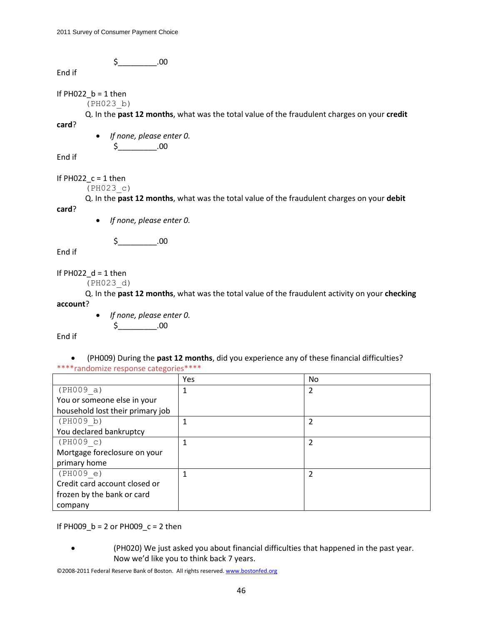$\zeta$  .00

End if

If  $PH022$ <sub>\_</sub> $b = 1$  then

(PH023\_b)

Q. In the **past 12 months**, what was the total value of the fraudulent charges on your **credit**

 *If none, please enter 0.*  $$_{\_}$ .00

End if

**card**?

If PH022  $c = 1$  then

(PH023\_c)

Q. In the **past 12 months**, what was the total value of the fraudulent charges on your **debit** 

*If none, please enter 0.*

 $$-.00$ 

End if

**card**?

If  $PH022_d = 1$  then

(PH023\_d)

Q. In the **past 12 months**, what was the total value of the fraudulent activity on your **checking account**?

> *If none, please enter 0.*  $\zeta$  .00

End if

 (PH009) During the **past 12 months**, did you experience any of these financial difficulties? \*\*\*\*randomize response categories\*\*\*\*

|                                  | Yes | <b>No</b> |
|----------------------------------|-----|-----------|
| (PH009 a)                        |     | 2         |
| You or someone else in your      |     |           |
| household lost their primary job |     |           |
| (PH009 b)                        | 1   |           |
| You declared bankruptcy          |     |           |
| (PH009 c)                        |     | 2         |
| Mortgage foreclosure on your     |     |           |
| primary home                     |     |           |
| (PH009 e)                        | 1   |           |
| Credit card account closed or    |     |           |
| frozen by the bank or card       |     |           |
| company                          |     |           |

If PH009\_b = 2 or PH009\_c = 2 then

 (PH020) We just asked you about financial difficulties that happened in the past year. Now we'd like you to think back 7 years.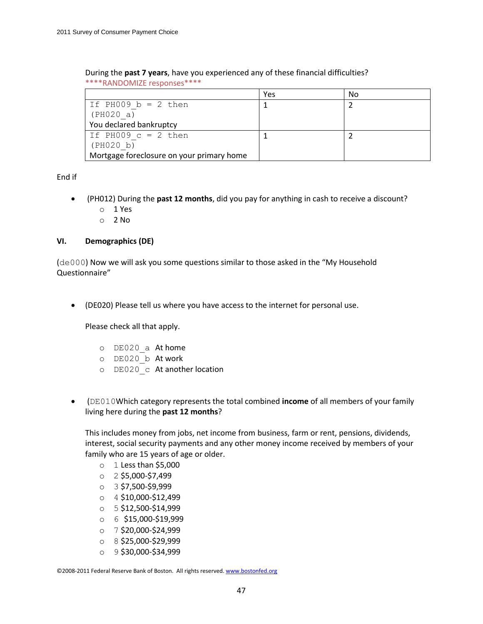| During the past 7 years, have you experienced any of these financial difficulties? |  |
|------------------------------------------------------------------------------------|--|
| ****RANDOMIZE responses****                                                        |  |

|                                           | Yes | No |
|-------------------------------------------|-----|----|
| If PH009 $b = 2$ then                     |     |    |
| (PH020 a)                                 |     |    |
| You declared bankruptcy                   |     |    |
| If PH009 $c = 2$ then                     |     |    |
| (PH020 b)                                 |     |    |
| Mortgage foreclosure on your primary home |     |    |

End if

- (PH012) During the **past 12 months**, did you pay for anything in cash to receive a discount?
	- o 1 Yes
	- o 2 No

# **VI. Demographics (DE)**

(de000) Now we will ask you some questions similar to those asked in the "My Household Questionnaire"

(DE020) Please tell us where you have access to the internet for personal use.

Please check all that apply.

- o DE020\_a At home
- o DE020\_b At work
- o DE020\_c At another location
- (DE010Which category represents the total combined **income** of all members of your family living here during the **past 12 months**?

This includes money from jobs, net income from business, farm or rent, pensions, dividends, interest, social security payments and any other money income received by members of your family who are 15 years of age or older.

- $\circ$  1 Less than \$5,000
- o 2 \$5,000-\$7,499
- o 3 \$7,500-\$9,999
- o 4 \$10,000-\$12,499
- o 5 \$12,500-\$14,999
- o 6 \$15,000-\$19,999
- o 7 \$20,000-\$24,999
- o 8 \$25,000-\$29,999
- o 9 \$30,000-\$34,999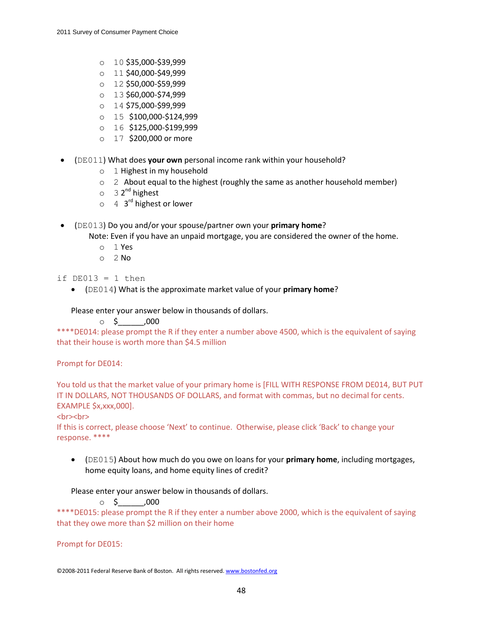- $O = 10$  \$35,000-\$39,999
- o 11 \$40,000-\$49,999
- o 12 \$50,000-\$59,999
- o 13 \$60,000-\$74,999
- o 14 \$75,000-\$99,999
- o 15 \$100,000-\$124,999
- o 16 \$125,000-\$199,999
- o 17 \$200,000 or more
- (DE011) What does **your own** personal income rank within your household?
	- o 1 Highest in my household
	- o 2 About equal to the highest (roughly the same as another household member)
	- o 3 2<sup>nd</sup> highest
	- o 4 3<sup>rd</sup> highest or lower
- (DE013) Do you and/or your spouse/partner own your **primary home**?

Note: Even if you have an unpaid mortgage, you are considered the owner of the home.

- o 1 Yes
- $O<sub>2</sub>$  No
- if  $DE013 = 1$  then
	- (DE014) What is the approximate market value of your **primary home**?

# Please enter your answer below in thousands of dollars.

# $0.5$  ,000

\*\*\*\*DE014: please prompt the R if they enter a number above 4500, which is the equivalent of saying that their house is worth more than \$4.5 million

### Prompt for DE014:

You told us that the market value of your primary home is [FILL WITH RESPONSE FROM DE014, BUT PUT IT IN DOLLARS, NOT THOUSANDS OF DOLLARS, and format with commas, but no decimal for cents. EXAMPLE \$x,xxx,000].

### <br><br>

If this is correct, please choose 'Next' to continue. Otherwise, please click 'Back' to change your response. \*\*\*\*

 (DE015) About how much do you owe on loans for your **primary home**, including mortgages, home equity loans, and home equity lines of credit?

Please enter your answer below in thousands of dollars.

 $\circ$  \$ ,000

\*\*\*\*DE015: please prompt the R if they enter a number above 2000, which is the equivalent of saying that they owe more than \$2 million on their home

Prompt for DE015: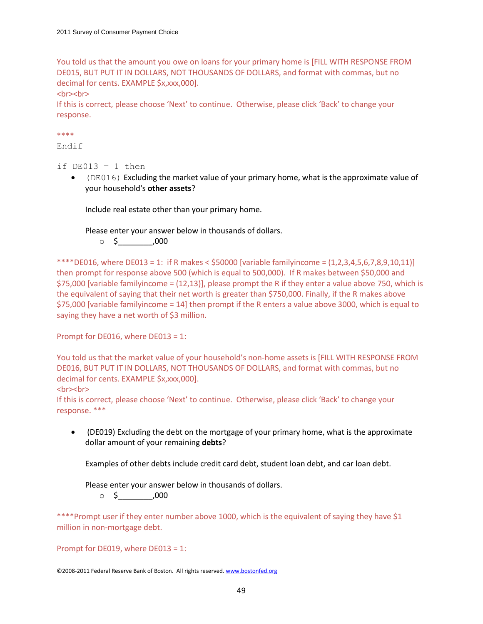You told us that the amount you owe on loans for your primary home is [FILL WITH RESPONSE FROM DE015, BUT PUT IT IN DOLLARS, NOT THOUSANDS OF DOLLARS, and format with commas, but no decimal for cents. EXAMPLE \$x,xxx,000].

<br><br>

If this is correct, please choose 'Next' to continue. Otherwise, please click 'Back' to change your response.

\*\*\*\*

Endif

if  $DE013 = 1$  then

 (DE016) Excluding the market value of your primary home, what is the approximate value of your household's **other assets**?

Include real estate other than your primary home.

Please enter your answer below in thousands of dollars.

 $\circ$  \$ ,000

\*\*\*\*DE016, where DE013 = 1: if R makes <  $$50000$  [variable familyincome =  $(1,2,3,4,5,6,7,8,9,10,11]$ ] then prompt for response above 500 (which is equal to 500,000). If R makes between \$50,000 and \$75,000 [variable familyincome = (12,13)], please prompt the R if they enter a value above 750, which is the equivalent of saying that their net worth is greater than \$750,000. Finally, if the R makes above \$75,000 [variable familyincome = 14] then prompt if the R enters a value above 3000, which is equal to saying they have a net worth of \$3 million.

Prompt for DE016, where DE013 = 1:

You told us that the market value of your household's non-home assets is [FILL WITH RESPONSE FROM DE016, BUT PUT IT IN DOLLARS, NOT THOUSANDS OF DOLLARS, and format with commas, but no decimal for cents. EXAMPLE \$x,xxx,000].

<br><br>

If this is correct, please choose 'Next' to continue. Otherwise, please click 'Back' to change your response. \*\*\*

 (DE019) Excluding the debt on the mortgage of your primary home, what is the approximate dollar amount of your remaining **debts**?

Examples of other debts include credit card debt, student loan debt, and car loan debt.

Please enter your answer below in thousands of dollars.

 $\circ$  \$  $.000$ 

\*\*\*\*Prompt user if they enter number above 1000, which is the equivalent of saying they have \$1 million in non-mortgage debt.

Prompt for DE019, where DE013 = 1: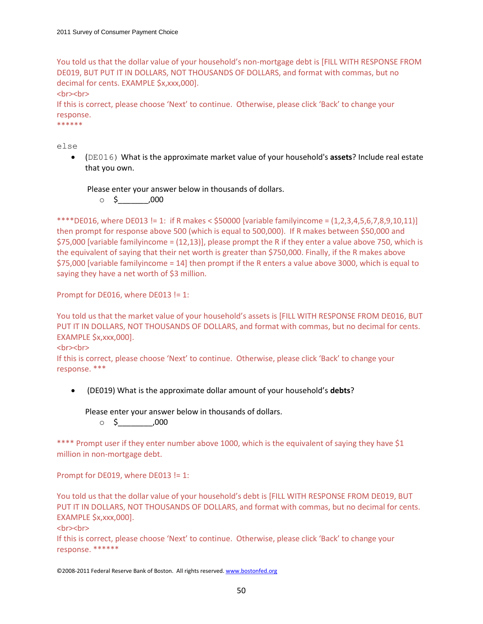You told us that the dollar value of your household's non-mortgage debt is [FILL WITH RESPONSE FROM DE019, BUT PUT IT IN DOLLARS, NOT THOUSANDS OF DOLLARS, and format with commas, but no decimal for cents. EXAMPLE \$x,xxx,000].

<br><br>

If this is correct, please choose 'Next' to continue. Otherwise, please click 'Back' to change your response.

\*\*\*\*\*\*

else

 (DE016) What is the approximate market value of your household's **assets**? Include real estate that you own.

Please enter your answer below in thousands of dollars.

 $\circ$  \$ ,000

\*\*\*\*DE016, where DE013 != 1: if R makes <  $$50000$  [variable familyincome =  $(1,2,3,4,5,6,7,8,9,10,11)$ ] then prompt for response above 500 (which is equal to 500,000). If R makes between \$50,000 and \$75,000 [variable familyincome = (12,13)], please prompt the R if they enter a value above 750, which is the equivalent of saying that their net worth is greater than \$750,000. Finally, if the R makes above \$75,000 [variable familyincome = 14] then prompt if the R enters a value above 3000, which is equal to saying they have a net worth of \$3 million.

Prompt for DE016, where DE013 != 1:

You told us that the market value of your household's assets is [FILL WITH RESPONSE FROM DE016, BUT PUT IT IN DOLLARS, NOT THOUSANDS OF DOLLARS, and format with commas, but no decimal for cents. EXAMPLE \$x,xxx,000].

#### <br><br>

If this is correct, please choose 'Next' to continue. Otherwise, please click 'Back' to change your response. \*\*\*

(DE019) What is the approximate dollar amount of your household's **debts**?

Please enter your answer below in thousands of dollars.

 $\circ$  \$ .000

\*\*\*\* Prompt user if they enter number above 1000, which is the equivalent of saying they have \$1 million in non-mortgage debt.

Prompt for DE019, where DE013 != 1:

You told us that the dollar value of your household's debt is [FILL WITH RESPONSE FROM DE019, BUT PUT IT IN DOLLARS, NOT THOUSANDS OF DOLLARS, and format with commas, but no decimal for cents. EXAMPLE \$x,xxx,000].

<br><br>

If this is correct, please choose 'Next' to continue. Otherwise, please click 'Back' to change your response. \*\*\*\*\*\*